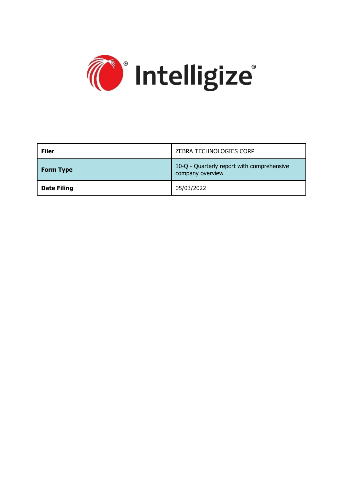

| <b>Filer</b>       | ZEBRA TECHNOLOGIES CORP                                        |
|--------------------|----------------------------------------------------------------|
| <b>Form Type</b>   | 10-Q - Quarterly report with comprehensive<br>company overview |
| <b>Date Filing</b> | 05/03/2022                                                     |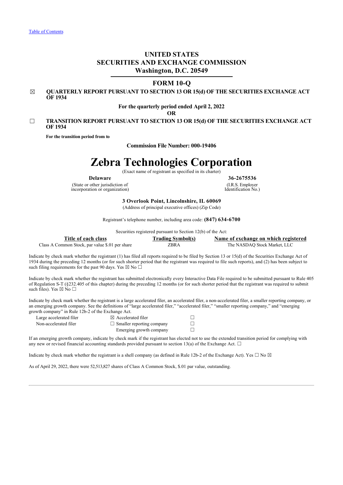## **UNITED STATES SECURITIES AND EXCHANGE COMMISSION Washington, D.C. 20549**

### **FORM 10-Q**

☒ **QUARTERLY REPORT PURSUANT TO SECTION 13 OR 15(d) OF THE SECURITIES EXCHANGE ACT OF 1934**

### **For the quarterly period ended April 2, 2022**

**OR**

### ☐ **TRANSITION REPORT PURSUANT TO SECTION 13 OR 15(d) OF THE SECURITIES EXCHANGE ACT OF 1934**

**For the transition period from to**

**Commission File Number: 000-19406**

# **Zebra Technologies Corporation**

(Exact name of registrant as specified in its charter)

(State or other jurisdiction of incorporation or organization)

**Delaware 36-2675536** (I.R.S. Employer Identification No.)

**3 Overlook Point, Lincolnshire, IL 60069**

(Address of principal executive offices) (Zip Code)

Registrant's telephone number, including area code: **(847) 634-6700**

Securities registered pursuant to Section 12(b) of the Act:

**Title of each class Trading Symbol(s) Name of exchange on which registered** Class A Common Stock, par value \$.01 per share ZBRA The NASDAQ Stock Market, LLC

Indicate by check mark whether the registrant (1) has filed all reports required to be filed by Section 13 or 15(d) of the Securities Exchange Act of 1934 during the preceding 12 months (or for such shorter period that the registrant was required to file such reports), and (2) has been subject to such filing requirements for the past 90 days. Yes  $\boxtimes$  No  $\Box$ 

Indicate by check mark whether the registrant has submitted electronically every Interactive Data File required to be submitted pursuant to Rule 405 of Regulation S-T (§232.405 of this chapter) during the preceding 12 months (or for such shorter period that the registrant was required to submit such files). Yes  $\boxtimes$  No  $\Box$ 

Indicate by check mark whether the registrant is a large accelerated filer, an accelerated filer, a non-accelerated filer, a smaller reporting company, or an emerging growth company. See the definitions of "large accelerated filer," "accelerated filer," "smaller reporting company," and "emerging growth company" in Rule 12b-2 of the Exchange Act.

| Large accelerated filer | $\boxtimes$ Accelerated filer    |  |
|-------------------------|----------------------------------|--|
| Non-accelerated filer   | $\Box$ Smaller reporting company |  |
|                         | Emerging growth company          |  |

If an emerging growth company, indicate by check mark if the registrant has elected not to use the extended transition period for complying with any new or revised financial accounting standards provided pursuant to section 13(a) of the Exchange Act.  $\Box$ 

Indicate by check mark whether the registrant is a shell company (as defined in Rule 12b-2 of the Exchange Act). Yes  $\Box$  No  $\boxtimes$ 

<span id="page-1-0"></span>As of April 29, 2022, there were 52,513,827 shares of Class A Common Stock, \$.01 par value, outstanding.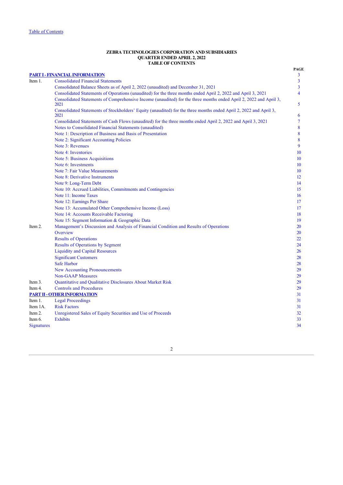### **ZEBRA TECHNOLOGIES CORPORATION AND SUBSIDIARIES QUARTER ENDED APRIL 2, 2022 TABLE OF CONTENTS**

<span id="page-2-0"></span>

|            | <b>PART I - FINANCIAL INFORMATION</b>                                                                                     | <b>PAGE</b><br>3        |
|------------|---------------------------------------------------------------------------------------------------------------------------|-------------------------|
| Item 1.    | <b>Consolidated Financial Statements</b>                                                                                  | 3                       |
|            | Consolidated Balance Sheets as of April 2, 2022 (unaudited) and December 31, 2021                                         | 3                       |
|            | Consolidated Statements of Operations (unaudited) for the three months ended April 2, 2022 and April 3, 2021              | $\overline{\mathbf{4}}$ |
|            | Consolidated Statements of Comprehensive Income (unaudited) for the three months ended April 2, 2022 and April 3,<br>2021 | 5                       |
|            | Consolidated Statements of Stockholders' Equity (unaudited) for the three months ended April 2, 2022 and April 3,<br>2021 | 6                       |
|            | Consolidated Statements of Cash Flows (unaudited) for the three months ended April 2, 2022 and April 3, 2021              | 7                       |
|            | Notes to Consolidated Financial Statements (unaudited)                                                                    | 8                       |
|            | Note 1: Description of Business and Basis of Presentation                                                                 | 8                       |
|            | Note 2: Significant Accounting Policies                                                                                   | 8                       |
|            | Note 3: Revenues                                                                                                          | 9                       |
|            | Note 4: Inventories                                                                                                       | 10                      |
|            | <b>Note 5: Business Acquisitions</b>                                                                                      | 10                      |
|            | Note 6: Investments                                                                                                       | 10                      |
|            | Note 7: Fair Value Measurements                                                                                           | 10                      |
|            | Note 8: Derivative Instruments                                                                                            | 12                      |
|            | Note 9: Long-Term Debt                                                                                                    | 14                      |
|            | Note 10: Accrued Liabilities, Commitments and Contingencies                                                               | 15                      |
|            | Note 11: Income Taxes                                                                                                     | 16                      |
|            | Note 12: Earnings Per Share                                                                                               | 17                      |
|            | Note 13: Accumulated Other Comprehensive Income (Loss)                                                                    | 17                      |
|            | Note 14: Accounts Receivable Factoring                                                                                    | 18                      |
|            | Note 15: Segment Information & Geographic Data                                                                            | 19                      |
| Item 2.    | Management's Discussion and Analysis of Financial Condition and Results of Operations                                     | 20                      |
|            | Overview                                                                                                                  | 20                      |
|            | <b>Results of Operations</b>                                                                                              | 22                      |
|            | <b>Results of Operations by Segment</b>                                                                                   | 24                      |
|            | <b>Liquidity and Capital Resources</b>                                                                                    | 26                      |
|            | <b>Significant Customers</b>                                                                                              | 28                      |
|            | Safe Harbor                                                                                                               | 28                      |
|            | <b>New Accounting Pronouncements</b>                                                                                      | 29                      |
|            | <b>Non-GAAP Measures</b>                                                                                                  | 29                      |
| Item 3.    | Quantitative and Qualitative Disclosures About Market Risk                                                                | 29                      |
| Item 4.    | <b>Controls and Procedures</b>                                                                                            | 29                      |
|            | <b>PART II - OTHER INFORMATION</b>                                                                                        | 31                      |
| Item 1.    | <b>Legal Proceedings</b>                                                                                                  | 31                      |
| Item 1A.   | <b>Risk Factors</b>                                                                                                       | 31                      |
| Item 2.    | Unregistered Sales of Equity Securities and Use of Proceeds                                                               | 32                      |
| Item 6.    | <b>Exhibits</b>                                                                                                           | 33                      |
| Signatures |                                                                                                                           | 34                      |
|            |                                                                                                                           |                         |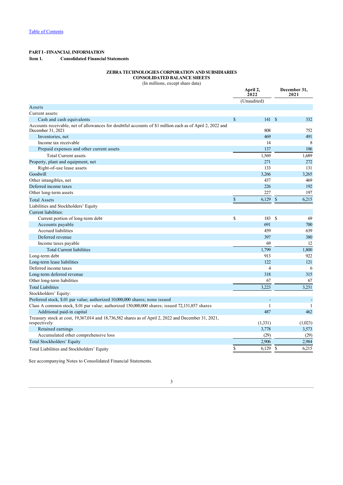### <span id="page-3-1"></span><span id="page-3-0"></span>**PART I - FINANCIAL INFORMATION Item 1. Consolidated Financial Statements**

### **ZEBRA TECHNOLOGIES CORPORATION AND SUBSIDIARIES CONSOLIDATED BALANCE SHEETS**

(In millions, except share data)

|                                                                                                                               | April 2,<br>2022 |              | December 31,<br>2021 |
|-------------------------------------------------------------------------------------------------------------------------------|------------------|--------------|----------------------|
|                                                                                                                               | (Unaudited)      |              |                      |
| Assets                                                                                                                        |                  |              |                      |
| Current assets:                                                                                                               |                  |              |                      |
| Cash and cash equivalents                                                                                                     | \$<br>141S       |              | 332                  |
| Accounts receivable, net of allowances for doubtful accounts of \$1 million each as of April 2, 2022 and<br>December 31, 2021 | 808              |              | 752                  |
| Inventories, net                                                                                                              | 469              |              | 491                  |
| Income tax receivable                                                                                                         | 14               |              | 8                    |
| Prepaid expenses and other current assets                                                                                     | 137              |              | 106                  |
| <b>Total Current assets</b>                                                                                                   | 1,569            |              | 1,689                |
| Property, plant and equipment, net                                                                                            | 271              |              | 272                  |
| Right-of-use lease assets                                                                                                     | 133              |              | 131                  |
| Goodwill                                                                                                                      | 3,266            |              | 3,265                |
| Other intangibles, net                                                                                                        | 437              |              | 469                  |
| Deferred income taxes                                                                                                         | 226              |              | 192                  |
| Other long-term assets                                                                                                        | 227              |              | 197                  |
| <b>Total Assets</b>                                                                                                           | \$<br>6,129      | $\mathbb{S}$ | 6,215                |
| Liabilities and Stockholders' Equity                                                                                          |                  |              |                      |
| <b>Current liabilities:</b>                                                                                                   |                  |              |                      |
| Current portion of long-term debt                                                                                             | \$<br>183        | <sup>S</sup> | 69                   |
| Accounts payable                                                                                                              | 691              |              | 700                  |
| Accrued liabilities                                                                                                           | 459              |              | 639                  |
| Deferred revenue                                                                                                              | 397              |              | 380                  |
| Income taxes payable                                                                                                          | 69               |              | 12                   |
| <b>Total Current liabilities</b>                                                                                              | 1,799            |              | 1,800                |
| Long-term debt                                                                                                                | 913              |              | 922                  |
| Long-term lease liabilities                                                                                                   | 122              |              | 121                  |
| Deferred income taxes                                                                                                         | $\overline{4}$   |              | 6                    |
| Long-term deferred revenue                                                                                                    | 318              |              | 315                  |
| Other long-term liabilities                                                                                                   | 67               |              | 67                   |
| <b>Total Liabilities</b>                                                                                                      | 3,223            |              | 3,231                |
| Stockholders' Equity:                                                                                                         |                  |              |                      |
| Preferred stock, \$.01 par value; authorized 10,000,000 shares; none issued                                                   |                  |              |                      |
| Class A common stock, \$.01 par value; authorized 150,000,000 shares; issued 72,151,857 shares                                | 1                |              | 1                    |
| Additional paid-in capital                                                                                                    | 487              |              | 462                  |
| Treasury stock at cost, 19,367,014 and 18,736,582 shares as of April 2, 2022 and December 31, 2021,<br>respectively           | (1,331)          |              | (1,023)              |
| Retained earnings                                                                                                             | 3,778            |              | 3,573                |
| Accumulated other comprehensive loss                                                                                          | (29)             |              | (29)                 |
| Total Stockholders' Equity                                                                                                    | 2,906            |              | 2,984                |
| Total Liabilities and Stockholders' Equity                                                                                    | \$<br>6,129      | \$           | 6,215                |

<span id="page-3-2"></span>See accompanying Notes to Consolidated Financial Statements.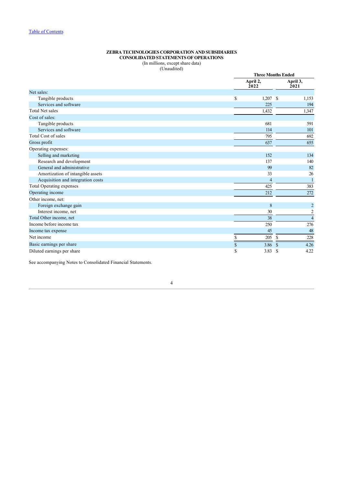### **ZEBRA TECHNOLOGIES CORPORATION AND SUBSIDIARIES CONSOLIDATED STATEMENTS OF OPERATIONS**

(In millions, except share data) (Unaudited)

|                                   |                  | <b>Three Months Ended</b> |                         |  |  |
|-----------------------------------|------------------|---------------------------|-------------------------|--|--|
|                                   | April 2,<br>2022 |                           | April 3,<br>2021        |  |  |
| Net sales:                        |                  |                           |                         |  |  |
| Tangible products                 | \$               | <sup>\$</sup><br>1,207    | 1,153                   |  |  |
| Services and software             |                  | 225                       | 194                     |  |  |
| <b>Total Net sales</b>            |                  | 1,432                     | 1,347                   |  |  |
| Cost of sales:                    |                  |                           |                         |  |  |
| Tangible products                 |                  | 681                       | 591                     |  |  |
| Services and software             |                  | 114                       | 101                     |  |  |
| Total Cost of sales               |                  | 795                       | 692                     |  |  |
| Gross profit                      |                  | 637                       | 655                     |  |  |
| Operating expenses:               |                  |                           |                         |  |  |
| Selling and marketing             |                  | 152                       | 134                     |  |  |
| Research and development          |                  | 137                       | 140                     |  |  |
| General and administrative        |                  | 99                        | 82                      |  |  |
| Amortization of intangible assets |                  | 33                        | 26                      |  |  |
| Acquisition and integration costs |                  | 4                         |                         |  |  |
| Total Operating expenses          |                  | 425                       | 383                     |  |  |
| Operating income                  |                  | 212                       | 272                     |  |  |
| Other income, net:                |                  |                           |                         |  |  |
| Foreign exchange gain             |                  | 8                         | $\overline{c}$          |  |  |
| Interest income, net              |                  | 30                        | $\overline{\mathbf{c}}$ |  |  |
| Total Other income, net           |                  | 38                        | $\overline{4}$          |  |  |
| Income before income tax          |                  | 250                       | 276                     |  |  |
| Income tax expense                |                  | 45                        | 48                      |  |  |
| Net income                        | \$               | 205<br><sup>\$</sup>      | 228                     |  |  |
| Basic earnings per share          | \$               | 3.86<br><sup>\$</sup>     | 4.26                    |  |  |
| Diluted earnings per share        | \$               | 3.83<br>S                 | 4.22                    |  |  |

<span id="page-4-0"></span>See accompanying Notes to Consolidated Financial Statements.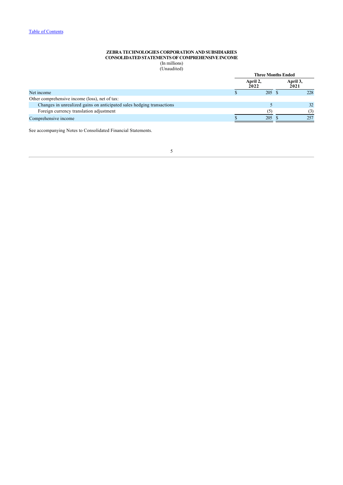### **ZEBRA TECHNOLOGIES CORPORATION AND SUBSIDIARIES CONSOLIDATED STATEMENTS OF COMPREHENSIVE INCOME** (In millions)

(Unaudited)

|                                                                       | <b>Three Months Ended</b> |  |                  |  |  |
|-----------------------------------------------------------------------|---------------------------|--|------------------|--|--|
|                                                                       | April 2,<br>2022          |  | April 3,<br>2021 |  |  |
| Net income                                                            | 205S                      |  | 228              |  |  |
| Other comprehensive income (loss), net of tax:                        |                           |  |                  |  |  |
| Changes in unrealized gains on anticipated sales hedging transactions |                           |  | 32               |  |  |
| Foreign currency translation adjustment                               |                           |  | (3)              |  |  |
| Comprehensive income                                                  | 205                       |  | 257              |  |  |
|                                                                       |                           |  |                  |  |  |

<span id="page-5-0"></span>See accompanying Notes to Consolidated Financial Statements.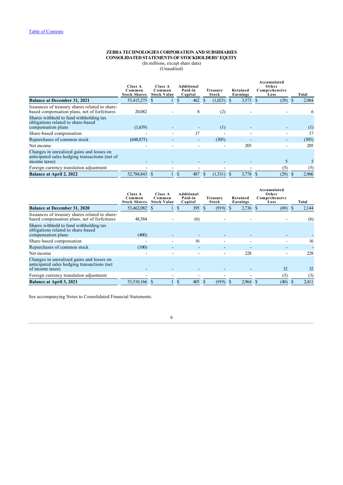#### **ZEBRA TECHNOLOGIES CORPORATION AND SUBSIDIARIES CONSOLIDATED STATEMENTS OF STOCKHOLDERS' EQUITY**

(In millions, except share data)

(Unaudited)

|                                                                                                              | Class A<br>Common<br><b>Stock Shares</b> | Class A<br>Common<br><b>Stock Value</b> | Additional<br>Paid-in<br>Capital | Treasurv<br>Stock |              | Retained<br>Earnings | Accumulated<br>Other<br>Comprehensive<br>Loss |              | Total |
|--------------------------------------------------------------------------------------------------------------|------------------------------------------|-----------------------------------------|----------------------------------|-------------------|--------------|----------------------|-----------------------------------------------|--------------|-------|
| <b>Balance at December 31, 2021</b>                                                                          | 53,415,275                               |                                         | 462<br>S                         | (1,023)           |              | 3,573                | (29)<br>- S                                   | <sup>8</sup> | 2,984 |
| Issuances of treasury shares related to share-<br>based compensation plans, net of forfeitures               | 20,082                                   |                                         | 8                                |                   | (2)          |                      |                                               |              | 6     |
| Shares withheld to fund withholding tax<br>obligations related to share-based<br>compensation plans          | (1,639)                                  |                                         |                                  |                   | (1)          |                      |                                               |              | (1)   |
| Share-based compensation                                                                                     |                                          |                                         | 17                               |                   |              |                      |                                               |              | 17    |
| Repurchases of common stock                                                                                  | (648, 875)                               |                                         | -                                | (305)             |              |                      | ٠                                             |              | (305) |
| Net income                                                                                                   |                                          |                                         |                                  |                   |              | 205                  | ۰                                             |              | 205   |
| Changes in unrealized gains and losses on<br>anticipated sales hedging transactions (net of<br>income taxes) |                                          |                                         |                                  |                   |              |                      |                                               |              |       |
| Foreign currency translation adjustment                                                                      |                                          |                                         |                                  |                   |              |                      | (5)                                           |              | (5)   |
| <b>Balance at April 2, 2022</b>                                                                              | 52,784,843                               |                                         | 487                              |                   | $(1,331)$ \$ | 3,778                | (29)                                          |              | 2,906 |

|                                                                                                              | Class A<br>Common<br><b>Stock Shares</b> | Class A<br>Common<br><b>Stock Value</b> | Additional<br>Paid-in<br>Capital | Treasury<br>Stock | Retained<br>Earnings | Accumulated<br>Other<br>Comprehensive<br>Loss | Total             |
|--------------------------------------------------------------------------------------------------------------|------------------------------------------|-----------------------------------------|----------------------------------|-------------------|----------------------|-----------------------------------------------|-------------------|
| <b>Balance at December 31, 2020</b>                                                                          | 53,462,082                               |                                         | 395 $$$<br>S                     | (919)             | $2,736$ \$           | (69)                                          | 2,144<br><b>S</b> |
| Issuances of treasury shares related to share-<br>based compensation plans, net of forfeitures               | 48,584                                   |                                         | (6)                              |                   |                      |                                               | (6)               |
| Shares withheld to fund withholding tax<br>obligations related to share-based<br>compensation plans          | (400)                                    |                                         |                                  |                   |                      | ۰                                             |                   |
| Share-based compensation                                                                                     |                                          |                                         | 16                               | ۰                 |                      | ٠                                             | 16                |
| Repurchases of common stock                                                                                  | (100)                                    |                                         |                                  |                   |                      |                                               |                   |
| Net income                                                                                                   | -                                        |                                         |                                  |                   | 228                  | -                                             | 228               |
| Changes in unrealized gains and losses on<br>anticipated sales hedging transactions (net<br>of income taxes) |                                          |                                         |                                  |                   |                      | 32                                            | 32                |
| Foreign currency translation adjustment                                                                      |                                          |                                         |                                  |                   |                      | (3)                                           | (3)               |
| <b>Balance at April 3, 2021</b>                                                                              | 53,510,166 \$                            |                                         | 405<br>S                         | (919)             | $2,964$ \$           | (40)                                          | 2,411             |

<span id="page-6-0"></span>See accompanying Notes to Consolidated Financial Statements.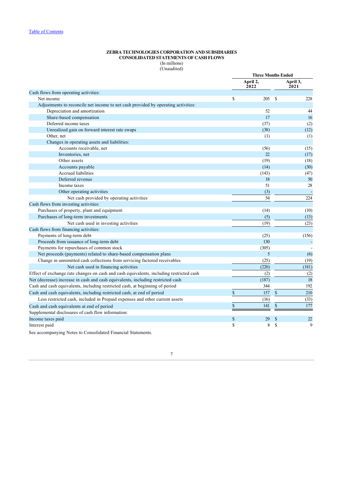### **ZEBRA TECHNOLOGIES CORPORATION AND SUBSIDIARIES CONSOLIDATED STATEMENTS OF CASH FLOWS** (In millions)

(Unaudited)

|                                                                                         | <b>Three Months Ended</b> |                  |               |                  |
|-----------------------------------------------------------------------------------------|---------------------------|------------------|---------------|------------------|
|                                                                                         |                           | April 2,<br>2022 |               | April 3,<br>2021 |
| Cash flows from operating activities:                                                   |                           |                  |               |                  |
| Net income                                                                              | \$                        | 205              | <sup>\$</sup> | 228              |
| Adjustments to reconcile net income to net cash provided by operating activities:       |                           |                  |               |                  |
| Depreciation and amortization                                                           |                           | 52               |               | 44               |
| Share-based compensation                                                                |                           | 17               |               | 16               |
| Deferred income taxes                                                                   |                           | (37)             |               | (2)              |
| Unrealized gain on forward interest rate swaps                                          |                           | (38)             |               | (12)             |
| Other, net                                                                              |                           | (1)              |               | (1)              |
| Changes in operating assets and liabilities:                                            |                           |                  |               |                  |
| Accounts receivable, net                                                                |                           | (56)             |               | (15)             |
| Inventories, net                                                                        |                           | 22               |               | (17)             |
| Other assets                                                                            |                           | (19)             |               | (18)             |
| Accounts payable                                                                        |                           | (14)             |               | (30)             |
| <b>Accrued liabilities</b>                                                              |                           | (143)            |               | (47)             |
| Deferred revenue                                                                        |                           | 18               |               | 50               |
| Income taxes                                                                            |                           | 51               |               | 28               |
| Other operating activities                                                              |                           | (3)              |               |                  |
| Net cash provided by operating activities                                               |                           | 54               |               | 224              |
| Cash flows from investing activities:                                                   |                           |                  |               |                  |
| Purchases of property, plant and equipment                                              |                           | (14)             |               | (10)             |
| Purchases of long-term investments                                                      |                           | (5)              |               | (13)             |
| Net cash used in investing activities                                                   |                           | (19)             |               | (23)             |
| Cash flows from financing activities:                                                   |                           |                  |               |                  |
| Payments of long-term debt                                                              |                           | (25)             |               | (156)            |
| Proceeds from issuance of long-term debt                                                |                           | 130              |               |                  |
| Payments for repurchases of common stock                                                |                           | (305)            |               |                  |
| Net proceeds (payments) related to share-based compensation plans                       |                           | 5                |               | (6)              |
| Change in unremitted cash collections from servicing factored receivables               |                           | (25)             |               | (19)             |
| Net cash used in financing activities                                                   |                           | (220)            |               | (181)            |
| Effect of exchange rate changes on cash and cash equivalents, including restricted cash |                           | (2)              |               | (2)              |
| Net (decrease) increase in cash and cash equivalents, including restricted cash         |                           | (187)            |               | 18               |
| Cash and cash equivalents, including restricted cash, at beginning of period            |                           | 344              |               | 192              |
| Cash and cash equivalents, including restricted cash, at end of period                  | $\mathbf S$               | 157              | $\mathbb{S}$  | 210              |
| Less restricted cash, included in Prepaid expenses and other current assets             |                           | (16)             |               | (33)             |
| Cash and cash equivalents at end of period                                              | $\mathcal{S}$             | 141              | $\mathbb{S}$  | 177              |
| Supplemental disclosures of cash flow information:                                      |                           |                  |               |                  |
| Income taxes paid                                                                       | $\mathbb{S}$              | 29               | $\mathbb{S}$  | 22               |
| Interest paid                                                                           | \$                        | 8                | \$            | 9                |
|                                                                                         |                           |                  |               |                  |

<span id="page-7-0"></span>See accompanying Notes to Consolidated Financial Statements.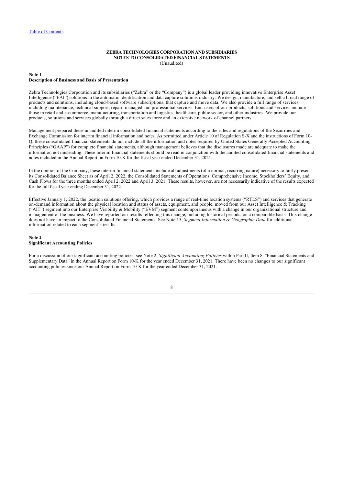### **ZEBRA TECHNOLOGIES CORPORATION AND SUBSIDIARIES NOTES TO CONSOLIDATED FINANCIAL STATEMENTS** (Unaudited)

#### <span id="page-8-0"></span>**Note 1 Description of Business and Basis of Presentation**

Zebra Technologies Corporation and its subsidiaries ("Zebra" or the "Company") is a global leader providing innovative Enterprise Asset Intelligence ("EAI") solutions in the automatic identification and data capture solutions industry. We design, manufacture, and sell a broad range of products and solutions, including cloud-based software subscriptions, that capture and move data. We also provide a full range of services, including maintenance, technical support, repair, managed and professional services. End-users of our products, solutions and services include those in retail and e-commerce, manufacturing, transportation and logistics, healthcare, public sector, and other industries. We provide our products, solutions and services globally through a direct sales force and an extensive network of channel partners.

Management prepared these unaudited interim consolidated financial statements according to the rules and regulations of the Securities and Exchange Commission for interim financial information and notes. As permitted under Article 10 of Regulation S-X and the instructions of Form 10- Q, these consolidated financial statements do not include all the information and notes required by United States Generally Accepted Accounting Principles ("GAAP") for complete financial statements, although management believes that the disclosures made are adequate to make the information not misleading. These interim financial statements should be read in conjunction with the audited consolidated financial statements and notes included in the Annual Report on Form 10-K for the fiscal year ended December 31, 2021.

In the opinion of the Company, these interim financial statements include all adjustments (of a normal, recurring nature) necessary to fairly present its Consolidated Balance Sheet as of April 2, 2022, the Consolidated Statements of Operations, Comprehensive Income, Stockholders' Equity, and Cash Flows for the three months ended April 2, 2022 and April 3, 2021. These results, however, are not necessarily indicative of the results expected for the full fiscal year ending December 31, 2022.

Effective January 1, 2022, the location solutions offering, which provides a range of real-time location systems ("RTLS") and services that generate on-demand information about the physical location and status of assets, equipment, and people, moved from our Asset Intelligence & Tracking ("AIT") segment into our Enterprise Visibility & Mobility ("EVM") segment contemporaneous with a change in our organizational structure and management of the business. We have reported our results reflecting this change, including historical periods, on a comparable basis. This change does not have an impact to the Consolidated Financial Statements. See Note 15, *Segment Information & Geographic Data* for additional information related to each segment's results.

### <span id="page-8-1"></span>**Note 2**

### **Significant Accounting Policies**

<span id="page-8-2"></span>For a discussion of our significant accounting policies, see Note 2, *Significant Accounting Policies* within Part II, Item 8. "Financial Statements and Supplementary Data" in the Annual Report on Form 10-K for the year ended December 31, 2021. There have been no changes to our significant accounting policies since our Annual Report on Form 10-K for the year ended December 31, 2021.

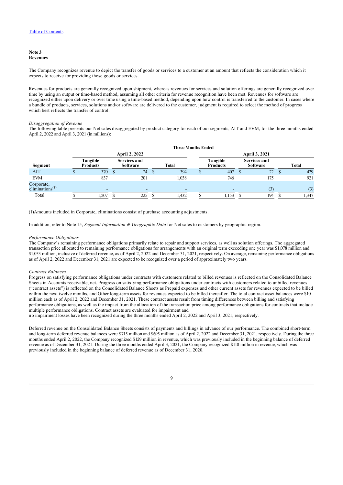#### **Note 3 Revenues**

The Company recognizes revenue to depict the transfer of goods or services to a customer at an amount that reflects the consideration which it expects to receive for providing those goods or services.

Revenues for products are generally recognized upon shipment, whereas revenues for services and solution offerings are generally recognized over time by using an output or time-based method, assuming all other criteria for revenue recognition have been met. Revenues for software are recognized either upon delivery or over time using a time-based method, depending upon how control is transferred to the customer. In cases where a bundle of products, services, solutions and/or software are delivered to the customer, judgment is required to select the method of progress which best reflects the transfer of control.

### *Disaggregation of Revenue*

The following table presents our Net sales disaggregated by product category for each of our segments, AIT and EVM, for the three months ended April 2, 2022 and April 3, 2021 (in millions):

|                                           | <b>Three Months Ended</b>   |   |                                        |   |       |  |                                    |   |                                        |  |              |  |
|-------------------------------------------|-----------------------------|---|----------------------------------------|---|-------|--|------------------------------------|---|----------------------------------------|--|--------------|--|
|                                           |                             |   | <b>April 2, 2022</b>                   |   |       |  |                                    |   | April 3, 2021                          |  |              |  |
| Segment                                   | Tangible<br><b>Products</b> |   | <b>Services and</b><br><b>Software</b> |   | Total |  | <b>Tangible</b><br><b>Products</b> |   | <b>Services and</b><br><b>Software</b> |  | <b>Total</b> |  |
| <b>AIT</b>                                | 370                         | S | 24                                     | D | 394   |  | 407                                | S | 22                                     |  | 429          |  |
| <b>EVM</b>                                | 837                         |   | 201                                    |   | 1,038 |  | 746                                |   | 175                                    |  | 921          |  |
| Corporate,<br>eliminations <sup>(1)</sup> | ٠                           |   |                                        |   |       |  |                                    |   | (3)                                    |  | (3)          |  |
| Total                                     | .207                        |   | 225                                    |   | 1,432 |  | 1,153                              |   | 194                                    |  | 1,347        |  |

(1)Amounts included in Corporate, eliminations consist of purchase accounting adjustments.

In addition, refer to Note 15, *Segment Information & Geographic Data* for Net sales to customers by geographic region.

### *Performance Obligations*

The Company's remaining performance obligations primarily relate to repair and support services, as well as solution offerings. The aggregated transaction price allocated to remaining performance obligations for arrangements with an original term exceeding one year was \$1,078 million and \$1,033 million, inclusive of deferred revenue, as of April 2, 2022 and December 31, 2021, respectively. On average, remaining performance obligations as of April 2, 2022 and December 31, 2021 are expected to be recognized over a period of approximately two years.

### *Contract Balances*

Progress on satisfying performance obligations under contracts with customers related to billed revenues is reflected on the Consolidated Balance Sheets in Accounts receivable, net. Progress on satisfying performance obligations under contracts with customers related to unbilled revenues ("contract assets") is reflected on the Consolidated Balance Sheets as Prepaid expenses and other current assets for revenues expected to be billed within the next twelve months, and Other long-term assets for revenues expected to be billed thereafter. The total contract asset balances were \$10 million each as of April 2, 2022 and December 31, 2021. These contract assets result from timing differences between billing and satisfying performance obligations, as well as the impact from the allocation of the transaction price among performance obligations for contracts that include multiple performance obligations. Contract assets are evaluated for impairment and

no impairment losses have been recognized during the three months ended April 2, 2022 and April 3, 2021, respectively.

<span id="page-9-0"></span>Deferred revenue on the Consolidated Balance Sheets consists of payments and billings in advance of our performance. The combined short-term and long-term deferred revenue balances were \$715 million and \$695 million as of April 2, 2022 and December 31, 2021, respectively. During the three months ended April 2, 2022, the Company recognized \$129 million in revenue, which was previously included in the beginning balance of deferred revenue as of December 31, 2021. During the three months ended April 3, 2021, the Company recognized \$110 million in revenue, which was previously included in the beginning balance of deferred revenue as of December 31, 2020.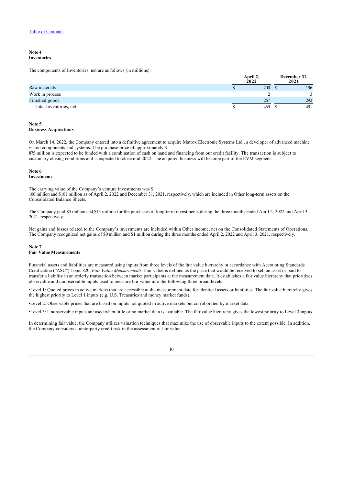#### **Note 4 Inventories**

The components of Inventories, net are as follows (in millions):

|                        | April 2,<br>2022 | December 31,<br>2021 |
|------------------------|------------------|----------------------|
| Raw materials          | 200              | 196                  |
| Work in process        |                  |                      |
| Finished goods         | 267              | 292                  |
| Total Inventories, net | 469              | 491                  |

**April 2,**

### <span id="page-10-0"></span>**Note 5 Business Acquisitions**

On March 14, 2022, the Company entered into a definitive agreement to acquire Matrox Electronic Systems Ltd., a developer of advanced machine vision components and systems. The purchase price of approximately \$

875 million is expected to be funded with a combination of cash on hand and financing from our credit facility. The transaction is subject to customary closing conditions and is expected to close mid 2022. The acquired business will become part of the EVM segment.

#### <span id="page-10-1"></span>**Note 6 Investments**

The carrying value of the Company's venture investments was \$ 106 million and \$101 million as of April 2, 2022 and December 31, 2021, respectively, which are included in Other long-term assets on the Consolidated Balance Sheets.

The Company paid \$5 million and \$13 million for the purchases of long-term investments during the three months ended April 2, 2022 and April 3, 2021, respectively.

Net gains and losses related to the Company's investments are included within Other income, net on the Consolidated Statements of Operations. The Company recognized net gains of \$0 million and \$1 million during the three months ended April 2, 2022 and April 3, 2021, respectively.

### <span id="page-10-2"></span>**Note 7 Fair Value Measurements**

Financial assets and liabilities are measured using inputs from three levels of the fair value hierarchy in accordance with Accounting Standards Codification ("ASC") Topic 820, *Fair Value Measurements*. Fair value is defined as the price that would be received to sell an asset or paid to transfer a liability in an orderly transaction between market participants at the measurement date. It establishes a fair value hierarchy that prioritizes observable and unobservable inputs used to measure fair value into the following three broad levels:

•Level 1: Quoted prices in active markets that are accessible at the measurement date for identical assets or liabilities. The fair value hierarchy gives the highest priority to Level 1 inputs (e.g. U.S. Treasuries and money market funds).

•Level 2: Observable prices that are based on inputs not quoted in active markets but corroborated by market data.

•Level 3: Unobservable inputs are used when little or no market data is available. The fair value hierarchy gives the lowest priority to Level 3 inputs.

In determining fair value, the Company utilizes valuation techniques that maximize the use of observable inputs to the extent possible. In addition, the Company considers counterparty credit risk in the assessment of fair value.

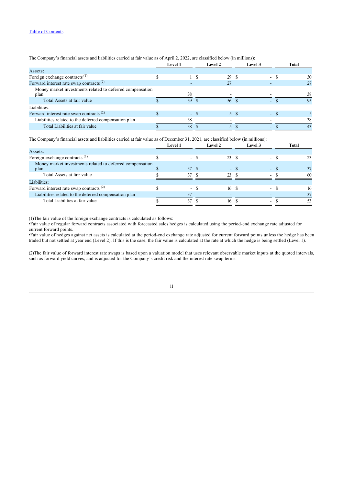| The Company's financial assets and habilities carried at fair value as of April 2, 2022, are classified below (in millions): |  |                |        |                |  |         |        |       |
|------------------------------------------------------------------------------------------------------------------------------|--|----------------|--------|----------------|--|---------|--------|-------|
|                                                                                                                              |  | <b>Level 1</b> |        | <b>Level 2</b> |  | Level 3 |        | Total |
| Assets:                                                                                                                      |  |                |        |                |  |         |        |       |
| Foreign exchange contracts <sup>(1)</sup>                                                                                    |  |                |        | 29 S           |  |         | - \$   | 30    |
| Forward interest rate swap contracts <sup>(2)</sup>                                                                          |  |                |        | 27             |  |         |        | 27    |
| Money market investments related to deferred compensation<br>plan                                                            |  | 38             |        |                |  |         |        | 38    |
| Total Assets at fair value                                                                                                   |  | 39             |        | -56            |  |         |        | 95    |
| Liabilities:                                                                                                                 |  |                |        |                |  |         |        |       |
| Forward interest rate swap contracts <sup>(2)</sup>                                                                          |  |                | $-$ \$ | 5 \$           |  |         | $-$ \$ |       |
| Liabilities related to the deferred compensation plan                                                                        |  | 38             |        |                |  |         |        | 38    |
| Total Liabilities at fair value                                                                                              |  | 38             |        |                |  |         |        | 43    |

The Company's financial assets and liabilities carried at fair value as of April 2, 2022, are classified below (in millions):

The Company's financial assets and liabilities carried at fair value as of December 31, 2021, are classified below (in millions):

|                                                                   | <b>Level 1</b> |    | <b>Level 2</b> | Level 3 | Total |
|-------------------------------------------------------------------|----------------|----|----------------|---------|-------|
| Assets:                                                           |                |    |                |         |       |
| Foreign exchange contracts <sup>(1)</sup>                         | - 8            |    | 23 S           | $\sim$  |       |
| Money market investments related to deferred compensation<br>plan | 37             | -8 | $-5$           | . .     | 37    |
| Total Assets at fair value                                        | 37             |    | 23             |         | 60    |
| Liabilities:                                                      |                |    |                |         |       |
| Forward interest rate swap contracts $(2)$                        | $\sim$         |    | 16 S           | $\sim$  | 16    |
| Liabilities related to the deferred compensation plan             | 37             |    |                |         |       |
| Total Liabilities at fair value                                   | 37             |    | 16             |         | 53    |

(1)The fair value of the foreign exchange contracts is calculated as follows:

•Fair value of regular forward contracts associated with forecasted sales hedges is calculated using the period-end exchange rate adjusted for current forward points.

•Fair value of hedges against net assets is calculated at the period-end exchange rate adjusted for current forward points unless the hedge has been traded but not settled at year end (Level 2). If this is the case, the fair value is calculated at the rate at which the hedge is being settled (Level 1).

<span id="page-11-0"></span>(2)The fair value of forward interest rate swaps is based upon a valuation model that uses relevant observable market inputs at the quoted intervals, such as forward yield curves, and is adjusted for the Company's credit risk and the interest rate swap terms.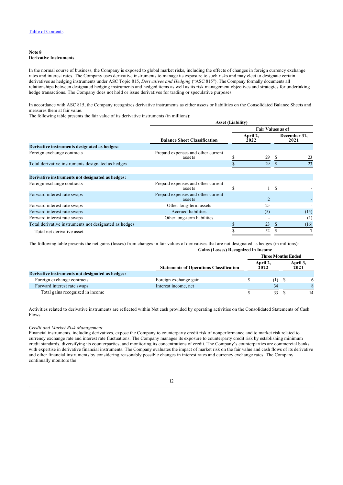### **Note 8 Derivative Instruments**

In the normal course of business, the Company is exposed to global market risks, including the effects of changes in foreign currency exchange rates and interest rates. The Company uses derivative instruments to manage its exposure to such risks and may elect to designate certain derivatives as hedging instruments under ASC Topic 815, *Derivatives and Hedging* ("ASC 815"). The Company formally documents all relationships between designated hedging instruments and hedged items as well as its risk management objectives and strategies for undertaking hedge transactions. The Company does not hold or issue derivatives for trading or speculative purposes.

In accordance with ASC 815, the Company recognizes derivative instruments as either assets or liabilities on the Consolidated Balance Sheets and measures them at fair value.

The following table presents the fair value of its derivative instruments (in millions):

|                                                       | <b>Asset (Liability)</b>                     |   |                          |     |                      |  |  |
|-------------------------------------------------------|----------------------------------------------|---|--------------------------|-----|----------------------|--|--|
|                                                       |                                              |   | <b>Fair Values as of</b> |     |                      |  |  |
|                                                       | <b>Balance Sheet Classification</b>          |   | April 2,<br>2022         |     | December 31,<br>2021 |  |  |
| Derivative instruments designated as hedges:          |                                              |   |                          |     |                      |  |  |
| Foreign exchange contracts                            | Prepaid expenses and other current<br>assets |   | 29                       | S.  | 23                   |  |  |
| Total derivative instruments designated as hedges     |                                              |   | 29                       |     | 23                   |  |  |
| Derivative instruments not designated as hedges:      |                                              |   |                          |     |                      |  |  |
| Foreign exchange contracts                            | Prepaid expenses and other current<br>assets | S |                          | \$. |                      |  |  |
| Forward interest rate swaps                           | Prepaid expenses and other current<br>assets |   |                          |     |                      |  |  |
| Forward interest rate swaps                           | Other long-term assets                       |   | 25                       |     |                      |  |  |
| Forward interest rate swaps                           | Accrued liabilities                          |   | (5)                      |     | (15)                 |  |  |
| Forward interest rate swaps                           | Other long-term liabilities                  |   |                          |     | (1)                  |  |  |
| Total derivative instruments not designated as hedges |                                              |   | 23                       |     | (16)                 |  |  |
| Total net derivative asset                            |                                              |   | 52                       |     |                      |  |  |

The following table presents the net gains (losses) from changes in fair values of derivatives that are not designated as hedges (in millions): **Gains (Losses) Recognized in Income**

|                                                  | Gains (Losses) Recognized in Income            |                           |                  |  |                  |
|--------------------------------------------------|------------------------------------------------|---------------------------|------------------|--|------------------|
|                                                  |                                                | <b>Three Months Ended</b> |                  |  |                  |
|                                                  | <b>Statements of Operations Classification</b> |                           | April 2,<br>2022 |  | April 3,<br>2021 |
| Derivative instruments not designated as hedges: |                                                |                           |                  |  |                  |
| Foreign exchange contracts                       | Foreign exchange gain                          |                           | $(1)$ \$         |  | 6                |
| Forward interest rate swaps                      | Interest income, net                           |                           | 34               |  |                  |
| Total gains recognized in income                 |                                                |                           | 33               |  | 14               |

Activities related to derivative instruments are reflected within Net cash provided by operating activities on the Consolidated Statements of Cash Flows.

### *Credit and Market Risk Management*

Financial instruments, including derivatives, expose the Company to counterparty credit risk of nonperformance and to market risk related to currency exchange rate and interest rate fluctuations. The Company manages its exposure to counterparty credit risk by establishing minimum credit standards, diversifying its counterparties, and monitoring its concentrations of credit. The Company's counterparties are commercial banks with expertise in derivative financial instruments. The Company evaluates the impact of market risk on the fair value and cash flows of its derivative and other financial instruments by considering reasonably possible changes in interest rates and currency exchange rates. The Company continually monitors the

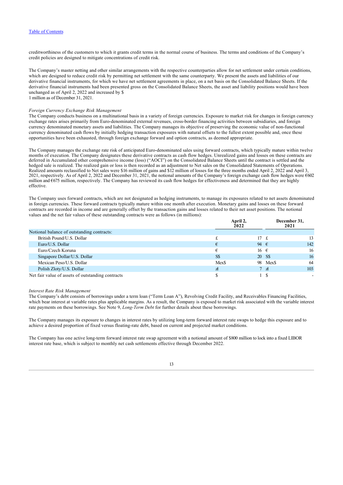creditworthiness of the customers to which it grants credit terms in the normal course of business. The terms and conditions of the Company's credit policies are designed to mitigate concentrations of credit risk.

The Company's master netting and other similar arrangements with the respective counterparties allow for net settlement under certain conditions, which are designed to reduce credit risk by permitting net settlement with the same counterparty. We present the assets and liabilities of our derivative financial instruments, for which we have net settlement agreements in place, on a net basis on the Consolidated Balance Sheets. If the derivative financial instruments had been presented gross on the Consolidated Balance Sheets, the asset and liability positions would have been unchanged as of April 2, 2022 and increased by \$

1 million as of December 31, 2021.

### *Foreign Currency Exchange Risk Management*

The Company conducts business on a multinational basis in a variety of foreign currencies. Exposure to market risk for changes in foreign currency exchange rates arises primarily from Euro-denominated external revenues, cross-border financing activities between subsidiaries, and foreign currency denominated monetary assets and liabilities. The Company manages its objective of preserving the economic value of non-functional currency denominated cash flows by initially hedging transaction exposures with natural offsets to the fullest extent possible and, once these opportunities have been exhausted, through foreign exchange forward and option contracts, as deemed appropriate.

The Company manages the exchange rate risk of anticipated Euro-denominated sales using forward contracts, which typically mature within twelve months of execution. The Company designates these derivative contracts as cash flow hedges. Unrealized gains and losses on these contracts are deferred in Accumulated other comprehensive income (loss) ("AOCI") on the Consolidated Balance Sheets until the contract is settled and the hedged sale is realized. The realized gain or loss is then recorded as an adjustment to Net sales on the Consolidated Statements of Operations. Realized amounts reclassified to Net sales were \$16 million of gains and \$12 million of losses for the three months ended April 2, 2022 and April 3, 2021, respectively. As of April 2, 2022 and December 31, 2021, the notional amounts of the Company's foreign exchange cash flow hedges were €602 million and €675 million, respectively. The Company has reviewed its cash flow hedges for effectiveness and determined that they are highly effective.

The Company uses forward contracts, which are not designated as hedging instruments, to manage its exposures related to net assets denominated in foreign currencies. These forward contracts typically mature within one month after execution. Monetary gains and losses on these forward contracts are recorded in income and are generally offset by the transaction gains and losses related to their net asset positions. The notional values and the net fair values of these outstanding contracts were as follows (in millions):

|                                                   | April 2,<br>2022 | December 31,<br>2021   |          |     |
|---------------------------------------------------|------------------|------------------------|----------|-----|
| Notional balance of outstanding contracts:        |                  |                        |          |     |
| British Pound/U.S. Dollar                         |                  | $17 \text{ } \text{f}$ |          | 13  |
| Euro/U.S. Dollar                                  | €                | 94 $\epsilon$          |          | 142 |
| Euro/Czech Koruna                                 |                  | 16 $\epsilon$          |          | 16  |
| Singapore Dollar/U.S. Dollar                      | S\$              | 20 S\$                 |          | 16  |
| Mexican Peso/U.S. Dollar                          | Mex\$            |                        | 98 Mex\$ | 64  |
| Polish Zloty/U.S. Dollar                          | $\mathcal{A}$    | 7 <sub>7</sub>         |          | 103 |
| Net fair value of assets of outstanding contracts |                  |                        |          |     |

#### *Interest Rate Risk Management*

The Company's debt consists of borrowings under a term loan ("Term Loan A"), Revolving Credit Facility, and Receivables Financing Facilities, which bear interest at variable rates plus applicable margins. As a result, the Company is exposed to market risk associated with the variable interest rate payments on these borrowings. See Note 9, *Long-Term Debt* for further details about these borrowings.

The Company manages its exposure to changes in interest rates by utilizing long-term forward interest rate swaps to hedge this exposure and to achieve a desired proportion of fixed versus floating-rate debt, based on current and projected market conditions.

The Company has one active long-term forward interest rate swap agreement with a notional amount of \$800 million to lock into a fixed LIBOR interest rate base, which is subject to monthly net cash settlements effective through December 2022.

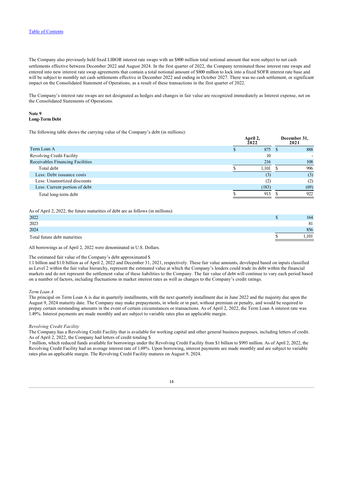The Company also previously held fixed LIBOR interest rate swaps with an \$800 million total notional amount that were subject to net cash settlements effective between December 2022 and August 2024. In the first quarter of 2022, the Company terminated those interest rate swaps and entered into new interest rate swap agreements that contain a total notional amount of \$800 million to lock into a fixed SOFR interest rate base and will be subject to monthly net cash settlements effective in December 2022 and ending in October 2027. There was no cash settlement, or significant impact on the Consolidated Statement of Operations, as a result of these transactions in the first quarter of 2022.

The Company's interest rate swaps are not designated as hedges and changes in fair value are recognized immediately as Interest expense, net on the Consolidated Statements of Operations.

### <span id="page-14-0"></span>**Note 9 Long-Term Debt**

The following table shows the carrying value of the Company's debt (in millions):

|                                  | April 4,<br>2022 | December 31,<br>2021 |
|----------------------------------|------------------|----------------------|
| Term Loan A                      | 875              | 888                  |
| Revolving Credit Facility        | 10               |                      |
| Receivables Financing Facilities | 216              | 108                  |
| Total debt                       | 1,101            | 996                  |
| Less: Debt issuance costs        | (3)              | (3)                  |
| Less: Unamortized discounts      | (2               | (2)                  |
| Less: Current portion of debt    | (183)            | (69)                 |
| Total long-term debt             | 913              | 922                  |

**April 2,**

**December 31,**

As of April 2, 2022, the future maturities of debt are as follows (in millions):

| 2022                         | 164                  |
|------------------------------|----------------------|
| 2023                         | O <sub>1</sub><br>ΟI |
| 2024                         | 856                  |
| Total future debt maturities | .101                 |

All borrowings as of April 2, 2022 were denominated in U.S. Dollars.

### The estimated fair value of the Company's debt approximated \$

1.1 billion and \$1.0 billion as of April 2, 2022 and December 31, 2021, respectively. These fair value amounts, developed based on inputs classified as Level 2 within the fair value hierarchy, represent the estimated value at which the Company's lenders could trade its debt within the financial markets and do not represent the settlement value of these liabilities to the Company. The fair value of debt will continue to vary each period based on a number of factors, including fluctuations in market interest rates as well as changes to the Company's credit ratings.

### *Term Loan A*

The principal on Term Loan A is due in quarterly installments, with the next quarterly installment due in June 2022 and the majority due upon the August 9, 2024 maturity date. The Company may make prepayments, in whole or in part, without premium or penalty, and would be required to prepay certain outstanding amounts in the event of certain circumstances or transactions. As of April 2, 2022, the Term Loan A interest rate was 1.49%. Interest payments are made monthly and are subject to variable rates plus an applicable margin.

### *Revolving Credit Facility*

The Company has a Revolving Credit Facility that is available for working capital and other general business purposes, including letters of credit. As of April 2, 2022, the Company had letters of credit totaling \$

7 million, which reduced funds available for borrowings under the Revolving Credit Facility from \$1 billion to \$993 million. As of April 2, 2022, the Revolving Credit Facility had an average interest rate of 1.69%. Upon borrowing, interest payments are made monthly and are subject to variable rates plus an applicable margin. The Revolving Credit Facility matures on August 9, 2024.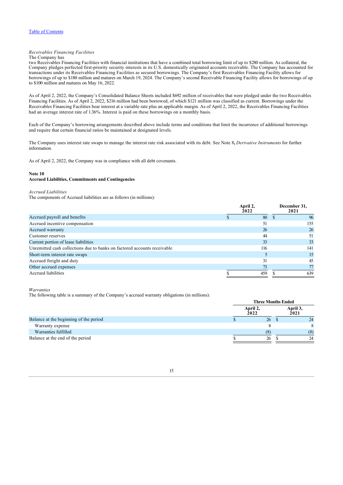### *Receivables Financing Facilities*

### The Company has

two Receivables Financing Facilities with financial institutions that have a combined total borrowing limit of up to \$280 million. As collateral, the Company pledges perfected first-priority security interests in its U.S. domestically originated accounts receivable. The Company has accounted for transactions under its Receivables Financing Facilities as secured borrowings. The Company's first Receivables Financing Facility allows for borrowings of up to \$180 million and matures on March 19, 2024. The Company's second Receivable Financing Facility allows for borrowings of up to \$100 million and matures on May 16, 2022.

As of April 2, 2022, the Company's Consolidated Balance Sheets included \$692 million of receivables that were pledged under the two Receivables Financing Facilities. As of April 2, 2022, \$216 million had been borrowed, of which \$121 million was classified as current. Borrowings under the Receivables Financing Facilities bear interest at a variable rate plus an applicable margin. As of April 2, 2022, the Receivables Financing Facilities had an average interest rate of 1.36%. Interest is paid on these borrowings on a monthly basis.

Each of the Company's borrowing arrangements described above include terms and conditions that limit the incurrence of additional borrowings and require that certain financial ratios be maintained at designated levels.

The Company uses interest rate swaps to manage the interest rate risk associated with its debt. See Note 8**,** *Derivative Instruments* for further information.

As of April 2, 2022, the Company was in compliance with all debt covenants.

### <span id="page-15-0"></span>**Note 10 Accrued Liabilities, Commitments and Contingencies**

#### *Accrued Liabilities*

The components of Accrued liabilities are as follows (in millions):

|                                                                          | April 2,<br>2022 | December 31,<br>2021 |
|--------------------------------------------------------------------------|------------------|----------------------|
| Accrued payroll and benefits                                             | 80               | 96                   |
| Accrued incentive compensation                                           | 51               | 155                  |
| Accrued warranty                                                         | 26               | 26                   |
| Customer reserves                                                        | 44               | 51                   |
| Current portion of lease liabilities                                     | 33               | 33                   |
| Unremitted cash collections due to banks on factored accounts receivable | 116              | 141                  |
| Short-term interest rate swaps                                           |                  | 15                   |
| Accrued freight and duty                                                 | 31               | 45                   |
| Other accrued expenses                                                   | 73               | 77                   |
| Accrued liabilities                                                      | 459              | 639                  |
|                                                                          |                  |                      |

#### *Warranties*

The following table is a summary of the Company's accrued warranty obligations (in millions):

|                                        | <b>Three Months Ended</b> |  |                  |  |  |
|----------------------------------------|---------------------------|--|------------------|--|--|
|                                        | April 2,<br>2022          |  | April 3,<br>2021 |  |  |
| Balance at the beginning of the period | 26                        |  | 24               |  |  |
| Warranty expense                       |                           |  | 8                |  |  |
| Warranties fulfilled                   | (8)                       |  | (8)              |  |  |
| Balance at the end of the period       | 26                        |  | 24               |  |  |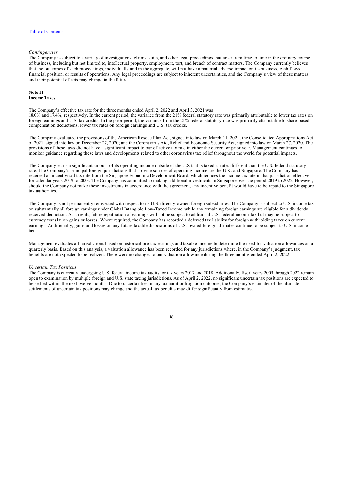### *Contingencies*

The Company is subject to a variety of investigations, claims, suits, and other legal proceedings that arise from time to time in the ordinary course of business, including but not limited to, intellectual property, employment, tort, and breach of contract matters. The Company currently believes that the outcomes of such proceedings, individually and in the aggregate, will not have a material adverse impact on its business, cash flows, financial position, or results of operations. Any legal proceedings are subject to inherent uncertainties, and the Company's view of these matters and their potential effects may change in the future.

### <span id="page-16-0"></span>**Note 11 Income Taxes**

The Company's effective tax rate for the three months ended April 2, 2022 and April 3, 2021 was 18.0% and 17.4%, respectively. In the current period, the variance from the 21% federal statutory rate was primarily attributable to lower tax rates on foreign earnings and U.S. tax credits. In the prior period, the variance from the 21% federal statutory rate was primarily attributable to share-based compensation deductions, lower tax rates on foreign earnings and U.S. tax credits.

The Company evaluated the provisions of the American Rescue Plan Act, signed into law on March 11, 2021; the Consolidated Appropriations Act of 2021, signed into law on December 27, 2020; and the Coronavirus Aid, Relief and Economic Security Act, signed into law on March 27, 2020. The provisions of these laws did not have a significant impact to our effective tax rate in either the current or prior year. Management continues to monitor guidance regarding these laws and developments related to other coronavirus tax relief throughout the world for potential impacts.

The Company earns a significant amount of its operating income outside of the U.S that is taxed at rates different than the U.S. federal statutory rate. The Company's principal foreign jurisdictions that provide sources of operating income are the U.K. and Singapore. The Company has received an incentivized tax rate from the Singapore Economic Development Board, which reduces the income tax rate in that jurisdiction effective for calendar years 2019 to 2023. The Company has committed to making additional investments in Singapore over the period 2019 to 2022. However, should the Company not make these investments in accordance with the agreement, any incentive benefit would have to be repaid to the Singapore tax authorities.

The Company is not permanently reinvested with respect to its U.S. directly-owned foreign subsidiaries. The Company is subject to U.S. income tax on substantially all foreign earnings under Global Intangible Low-Taxed Income, while any remaining foreign earnings are eligible for a dividends received deduction. As a result, future repatriation of earnings will not be subject to additional U.S. federal income tax but may be subject to currency translation gains or losses. Where required, the Company has recorded a deferred tax liability for foreign withholding taxes on current earnings. Additionally, gains and losses on any future taxable dispositions of U.S.-owned foreign affiliates continue to be subject to U.S. income tax.

Management evaluates all jurisdictions based on historical pre-tax earnings and taxable income to determine the need for valuation allowances on a quarterly basis. Based on this analysis, a valuation allowance has been recorded for any jurisdictions where, in the Company's judgment, tax benefits are not expected to be realized. There were no changes to our valuation allowance during the three months ended April 2, 2022.

### *Uncertain Tax Positions*

<span id="page-16-1"></span>The Company is currently undergoing U.S. federal income tax audits for tax years 2017 and 2018. Additionally, fiscal years 2009 through 2022 remain open to examination by multiple foreign and U.S. state taxing jurisdictions. As of April 2, 2022, no significant uncertain tax positions are expected to be settled within the next twelve months. Due to uncertainties in any tax audit or litigation outcome, the Company's estimates of the ultimate settlements of uncertain tax positions may change and the actual tax benefits may differ significantly from estimates.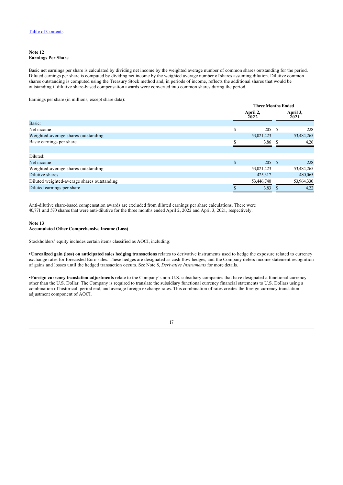### **Note 12 Earnings Per Share**

Basic net earnings per share is calculated by dividing net income by the weighted average number of common shares outstanding for the period. Diluted earnings per share is computed by dividing net income by the weighted average number of shares assuming dilution. Dilutive common shares outstanding is computed using the Treasury Stock method and, in periods of income, reflects the additional shares that would be outstanding if dilutive share-based compensation awards were converted into common shares during the period.

Earnings per share (in millions, except share data):

|                                             | <b>Three Months Ended</b> |                  |      |                  |
|---------------------------------------------|---------------------------|------------------|------|------------------|
|                                             |                           | April 2,<br>2022 |      | April 3,<br>2021 |
| Basic:                                      |                           |                  |      |                  |
| Net income                                  | \$                        | 205              | - \$ | 228              |
| Weighted-average shares outstanding         |                           | 53,021,423       |      | 53,484,265       |
| Basic earnings per share                    |                           | 3.86             |      | 4.26             |
|                                             |                           |                  |      |                  |
| Diluted:                                    |                           |                  |      |                  |
| Net income                                  | $\mathbb{S}$              | 205 \$           |      | 228              |
| Weighted-average shares outstanding         |                           | 53,021,423       |      | 53,484,265       |
| Dilutive shares                             |                           | 425,317          |      | 480,065          |
| Diluted weighted-average shares outstanding |                           | 53,446,740       |      | 53,964,330       |
| Diluted earnings per share                  |                           | 3.83             |      | 4.22             |

Anti-dilutive share-based compensation awards are excluded from diluted earnings per share calculations. There were 40,771 and 570 shares that were anti-dilutive for the three months ended April 2, 2022 and April 3, 2021, respectively.

### <span id="page-17-0"></span>**Note 13 Accumulated Other Comprehensive Income (Loss)**

Stockholders' equity includes certain items classified as AOCI, including:

**•Unrealized gain (loss) on anticipated sales hedging transactions** relates to derivative instruments used to hedge the exposure related to currency exchange rates for forecasted Euro sales. These hedges are designated as cash flow hedges, and the Company defers income statement recognition of gains and losses until the hedged transaction occurs. See Note 8, *Derivative Instruments* for more details.

**•Foreign currency translation adjustments** relate to the Company's non-U.S. subsidiary companies that have designated a functional currency other than the U.S. Dollar. The Company is required to translate the subsidiary functional currency financial statements to U.S. Dollars using a combination of historical, period end, and average foreign exchange rates. This combination of rates creates the foreign currency translation adjustment component of AOCI.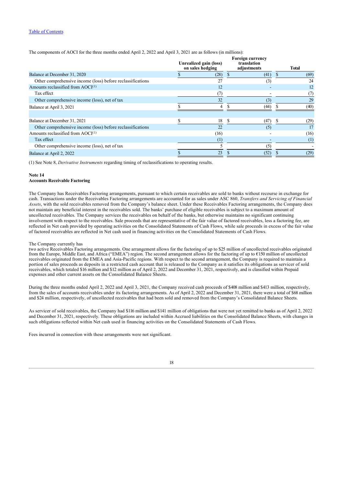The components of AOCI for the three months ended April 2, 2022 and April 3, 2021 are as follows (in millions):

|                                                            | Unrealized gain (loss)<br>on sales hedging |     | <b>Foreign currency</b><br>translation<br>adjustments |   | <b>Total</b> |
|------------------------------------------------------------|--------------------------------------------|-----|-------------------------------------------------------|---|--------------|
| Balance at December 31, 2020                               | (28)                                       |     | (41)                                                  |   | (69)         |
| Other comprehensive income (loss) before reclassifications | 27                                         |     | (3)                                                   |   | 24           |
| Amounts reclassified from $AOCI(1)$                        | 12                                         |     |                                                       |   | 12           |
| Tax effect                                                 | (7)                                        |     |                                                       |   | (7)          |
| Other comprehensive income (loss), net of tax              | 32                                         |     | (3)                                                   |   | 29           |
| Balance at April 3, 2021                                   | 4                                          |     | (44)                                                  |   | (40)         |
| Balance at December 31, 2021                               | 18                                         | \$. | (47)                                                  | S | (29)         |
| Other comprehensive income (loss) before reclassifications | 22                                         |     | (5)                                                   |   | 17           |
| Amounts reclassified from $AOCI(1)$                        | (16)                                       |     |                                                       |   | (16)         |
| Tax effect                                                 | $^{(1)}$                                   |     |                                                       |   | (1)          |
| Other comprehensive income (loss), net of tax              |                                            |     | (5)                                                   |   |              |
| Balance at April 2, 2022                                   | 23                                         |     | (52)                                                  |   | (29)         |

(1) See Note 8, *Derivative Instruments* regarding timing of reclassifications to operating results.

### <span id="page-18-0"></span>**Note 14**

### **Accounts Receivable Factoring**

The Company has Receivables Factoring arrangements, pursuant to which certain receivables are sold to banks without recourse in exchange for cash. Transactions under the Receivables Factoring arrangements are accounted for as sales under ASC 860, *Transfers and Servicing of Financial Assets*, with the sold receivables removed from the Company's balance sheet. Under these Receivables Factoring arrangements, the Company does not maintain any beneficial interest in the receivables sold. The banks' purchase of eligible receivables is subject to a maximum amount of uncollected receivables. The Company services the receivables on behalf of the banks, but otherwise maintains no significant continuing involvement with respect to the receivables. Sale proceeds that are representative of the fair value of factored receivables, less a factoring fee, are reflected in Net cash provided by operating activities on the Consolidated Statements of Cash Flows, while sale proceeds in excess of the fair value of factored receivables are reflected in Net cash used in financing activities on the Consolidated Statements of Cash Flows.

#### The Company currently has

two active Receivables Factoring arrangements. One arrangement allows for the factoring of up to \$25 million of uncollected receivables originated from the Europe, Middle East, and Africa ("EMEA") region. The second arrangement allows for the factoring of up to €150 million of uncollected receivables originated from the EMEA and Asia-Pacific regions. With respect to the second arrangement, the Company is required to maintain a portion of sales proceeds as deposits in a restricted cash account that is released to the Company as it satisfies its obligations as servicer of sold receivables, which totaled \$16 million and \$12 million as of April 2, 2022 and December 31, 2021, respectively, and is classified within Prepaid expenses and other current assets on the Consolidated Balance Sheets.

During the three months ended April 2, 2022 and April 3, 2021, the Company received cash proceeds of \$408 million and \$413 million, respectively, from the sales of accounts receivables under its factoring arrangements. As of April 2, 2022 and December 31, 2021, there were a total of \$68 million and \$24 million, respectively, of uncollected receivables that had been sold and removed from the Company's Consolidated Balance Sheets.

As servicer of sold receivables, the Company had \$116 million and \$141 million of obligations that were not yet remitted to banks as of April 2, 2022 and December 31, 2021, respectively. These obligations are included within Accrued liabilities on the Consolidated Balance Sheets, with changes in such obligations reflected within Net cash used in financing activities on the Consolidated Statements of Cash Flows.

<span id="page-18-1"></span>Fees incurred in connection with these arrangements were not significant.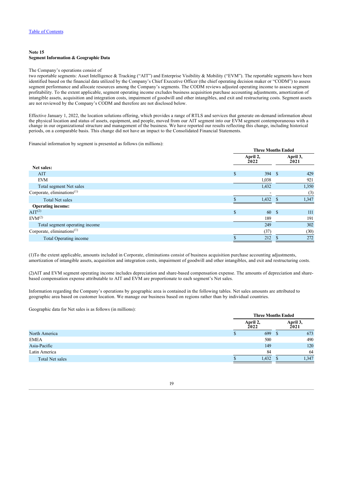### **Note 15 Segment Information & Geographic Data**

### The Company's operations consist of

two reportable segments: Asset Intelligence & Tracking ("AIT") and Enterprise Visibility & Mobility ("EVM"). The reportable segments have been identified based on the financial data utilized by the Company's Chief Executive Officer (the chief operating decision maker or "CODM") to assess segment performance and allocate resources among the Company's segments. The CODM reviews adjusted operating income to assess segment profitability. To the extent applicable, segment operating income excludes business acquisition purchase accounting adjustments, amortization of intangible assets, acquisition and integration costs, impairment of goodwill and other intangibles, and exit and restructuring costs. Segment assets are not reviewed by the Company's CODM and therefore are not disclosed below.

Effective January 1, 2022, the location solutions offering, which provides a range of RTLS and services that generate on-demand information about the physical location and status of assets, equipment, and people, moved from our AIT segment into our EVM segment contemporaneous with a change in our organizational structure and management of the business. We have reported our results reflecting this change, including historical periods, on a comparable basis. This change did not have an impact to the Consolidated Financial Statements.

Financial information by segment is presented as follows (in millions):

|                                        |              | <b>Three Months Ended</b> |                  |  |  |  |
|----------------------------------------|--------------|---------------------------|------------------|--|--|--|
|                                        |              | April 2,<br>2022          | April 3,<br>2021 |  |  |  |
| Net sales:                             |              |                           |                  |  |  |  |
| AIT                                    | $\mathbb{S}$ | 394<br>$\mathbf{s}$       | 429              |  |  |  |
| <b>EVM</b>                             |              | 1,038                     | 921              |  |  |  |
| Total segment Net sales                |              | 1,432                     | 1,350            |  |  |  |
| Corporate, eliminations <sup>(1)</sup> |              |                           | (3)              |  |  |  |
| <b>Total Net sales</b>                 |              | 1,432                     | 1,347            |  |  |  |
| <b>Operating income:</b>               |              |                           |                  |  |  |  |
| AIT <sup>(2)</sup>                     | S            | 60<br>- \$                | 111              |  |  |  |
| EVM <sup>(2)</sup>                     |              | 189                       | 191              |  |  |  |
| Total segment operating income         |              | 249                       | 302              |  |  |  |
| Corporate, eliminations <sup>(1)</sup> |              | (37)                      | (30)             |  |  |  |
| Total Operating income                 |              | 212                       | 272              |  |  |  |

(1)To the extent applicable, amounts included in Corporate, eliminations consist of business acquisition purchase accounting adjustments, amortization of intangible assets, acquisition and integration costs, impairment of goodwill and other intangibles, and exit and restructuring costs.

(2)AIT and EVM segment operating income includes depreciation and share-based compensation expense. The amounts of depreciation and sharebased compensation expense attributable to AIT and EVM are proportionate to each segment's Net sales.

Information regarding the Company's operations by geographic area is contained in the following tables. Net sales amounts are attributed to geographic area based on customer location. We manage our business based on regions rather than by individual countries.

Geographic data for Net sales is as follows (in millions):

|                 | <b>Three Months Ended</b> |  |                  |  |  |
|-----------------|---------------------------|--|------------------|--|--|
|                 | April 2,<br>2022          |  | April 3,<br>2021 |  |  |
| North America   | 699                       |  | 673              |  |  |
| EMEA            | 500                       |  | 490              |  |  |
| Asia-Pacific    | 149                       |  | 120              |  |  |
| Latin America   | 84                        |  | 64               |  |  |
| Total Net sales | 1,432                     |  | 1,347            |  |  |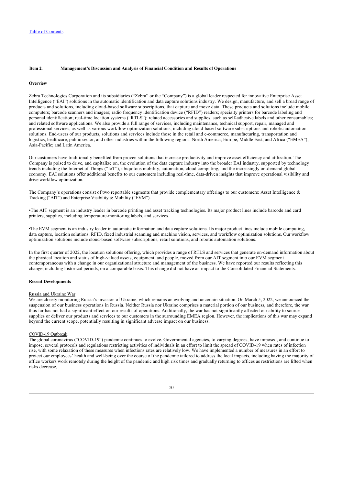### <span id="page-20-0"></span>**Item 2. Management's Discussion and Analysis of Financial Condition and Results of Operations**

#### <span id="page-20-1"></span>**Overview**

Zebra Technologies Corporation and its subsidiaries ("Zebra" or the "Company") is a global leader respected for innovative Enterprise Asset Intelligence ("EAI") solutions in the automatic identification and data capture solutions industry. We design, manufacture, and sell a broad range of products and solutions, including cloud-based software subscriptions, that capture and move data. These products and solutions include mobile computers; barcode scanners and imagers; radio frequency identification device ("RFID") readers; specialty printers for barcode labeling and personal identification; real-time location systems ("RTLS"); related accessories and supplies, such as self-adhesive labels and other consumables; and related software applications. We also provide a full range of services, including maintenance, technical support, repair, managed and professional services, as well as various workflow optimization solutions, including cloud-based software subscriptions and robotic automation solutions. End-users of our products, solutions and services include those in the retail and e-commerce, manufacturing, transportation and logistics, healthcare, public sector, and other industries within the following regions: North America; Europe, Middle East, and Africa ("EMEA"); Asia-Pacific; and Latin America.

Our customers have traditionally benefited from proven solutions that increase productivity and improve asset efficiency and utilization. The Company is poised to drive, and capitalize on, the evolution of the data capture industry into the broader EAI industry, supported by technology trends including the Internet of Things ("IoT"), ubiquitous mobility, automation, cloud computing, and the increasingly on-demand global economy. EAI solutions offer additional benefits to our customers including real-time, data-driven insights that improve operational visibility and drive workflow optimization.

The Company's operations consist of two reportable segments that provide complementary offerings to our customers: Asset Intelligence  $\&$ Tracking ("AIT") and Enterprise Visibility & Mobility ("EVM").

*•*The AIT segment is an industry leader in barcode printing and asset tracking technologies. Its major product lines include barcode and card printers, supplies, including temperature-monitoring labels, and services.

•The EVM segment is an industry leader in automatic information and data capture solutions. Its major product lines include mobile computing, data capture, location solutions, RFID, fixed industrial scanning and machine vision, services, and workflow optimization solutions. Our workflow optimization solutions include cloud-based software subscriptions, retail solutions, and robotic automation solutions.

In the first quarter of 2022, the location solutions offering, which provides a range of RTLS and services that generate on-demand information about the physical location and status of high-valued assets, equipment, and people, moved from our AIT segment into our EVM segment contemporaneous with a change in our organizational structure and management of the business. We have reported our results reflecting this change, including historical periods, on a comparable basis. This change did not have an impact to the Consolidated Financial Statements.

#### **Recent Developments**

### Russia and Ukraine War

We are closely monitoring Russia's invasion of Ukraine, which remains an evolving and uncertain situation. On March 5, 2022, we announced the suspension of our business operations in Russia. Neither Russia nor Ukraine comprises a material portion of our business, and therefore, the war thus far has not had a significant effect on our results of operations. Additionally, the war has not significantly affected our ability to source supplies or deliver our products and services to our customers in the surrounding EMEA region. However, the implications of this war may expand beyond the current scope, potentially resulting in significant adverse impact on our business.

#### COVID-19 Outbreak

The global coronavirus ("COVID-19") pandemic continues to evolve. Governmental agencies, to varying degrees, have imposed, and continue to impose, several protocols and regulations restricting activities of individuals in an effort to limit the spread of COVID-19 when rates of infection rise, with some relaxation of these measures when infections rates are relatively low. We have implemented a number of measures in an effort to protect our employees' health and well-being over the course of the pandemic tailored to address the local impacts, including having the majority of office workers work remotely during the height of the pandemic and high risk times and gradually returning to offices as restrictions are lifted when risks decrease,

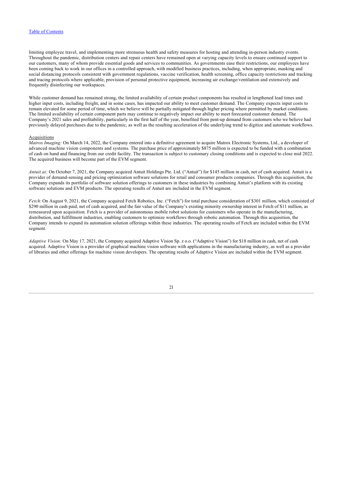limiting employee travel, and implementing more strenuous health and safety measures for hosting and attending in-person industry events. Throughout the pandemic, distribution centers and repair centers have remained open at varying capacity levels to ensure continued support to our customers, many of whom provide essential goods and services to communities. As governments ease their restrictions, our employees have been coming back to work in our offices in a controlled approach, with modified business practices, including, when appropriate, masking and social distancing protocols consistent with government regulations, vaccine verification, health screening, office capacity restrictions and tracking and tracing protocols where applicable, provision of personal protective equipment, increasing air exchange/ventilation and extensively and frequently disinfecting our workspaces.

While customer demand has remained strong, the limited availability of certain product components has resulted in lengthened lead times and higher input costs, including freight, and in some cases, has impacted our ability to meet customer demand. The Company expects input costs to remain elevated for some period of time, which we believe will be partially mitigated through higher pricing where permitted by market conditions. The limited availability of certain component parts may continue to negatively impact our ability to meet forecasted customer demand. The Company's 2021 sales and profitability, particularly in the first half of the year, benefited from pent-up demand from customers who we believe had previously delayed purchases due to the pandemic, as well as the resulting acceleration of the underlying trend to digitize and automate workflows.

#### **Acquisitions**

*Matrox Imaging:* On March 14, 2022, the Company entered into a definitive agreement to acquire Matrox Electronic Systems, Ltd., a developer of advanced machine vision components and systems. The purchase price of approximately \$875 million is expected to be funded with a combination of cash on hand and financing from our credit facility. The transaction is subject to customary closing conditions and is expected to close mid 2022. The acquired business will become part of the EVM segment.

*Antuit.ai:* On October 7, 2021, the Company acquired Antuit Holdings Pte. Ltd. ("Antuit") for \$145 million in cash, net of cash acquired. Antuit is a provider of demand-sensing and pricing optimization software solutions for retail and consumer products companies. Through this acquisition, the Company expands its portfolio of software solution offerings to customers in these industries by combining Antuit's platform with its existing software solutions and EVM products. The operating results of Antuit are included in the EVM segment.

*Fetch*: On August 9, 2021, the Company acquired Fetch Robotics, Inc. ("Fetch") for total purchase consideration of \$301 million, which consisted of \$290 million in cash paid, net of cash acquired, and the fair value of the Company's existing minority ownership interest in Fetch of \$11 million, as remeasured upon acquisition. Fetch is a provider of autonomous mobile robot solutions for customers who operate in the manufacturing, distribution, and fulfillment industries, enabling customers to optimize workflows through robotic automation. Through this acquisition, the Company intends to expand its automation solution offerings within these industries. The operating results of Fetch are included within the EVM segment.

<span id="page-21-0"></span>*Adaptive Vision:* On May 17, 2021, the Company acquired Adaptive Vision Sp. z o.o. ("Adaptive Vision") for \$18 million in cash, net of cash acquired. Adaptive Vision is a provider of graphical machine vision software with applications in the manufacturing industry, as well as a provider of libraries and other offerings for machine vision developers. The operating results of Adaptive Vision are included within the EVM segment.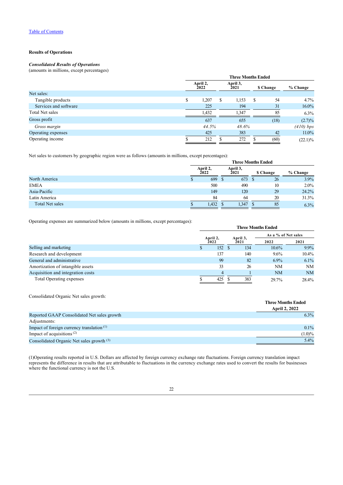### **Results of Operations**

### *Consolidated Results of Operations*

(amounts in millions, except percentages)

|                       | <b>Three Months Ended</b> |                                      |    |       |           |          |            |
|-----------------------|---------------------------|--------------------------------------|----|-------|-----------|----------|------------|
|                       |                           | April 2,<br>April 3,<br>2021<br>2022 |    |       | \$ Change | % Change |            |
| Net sales:            |                           |                                      |    |       |           |          |            |
| Tangible products     | S                         | 1,207                                | S. | 1,153 | -S        | 54       | $4.7\%$    |
| Services and software |                           | 225                                  |    | 194   |           | 31       | 16.0%      |
| Total Net sales       |                           | 1,432                                |    | 1,347 |           | 85       | $6.3\%$    |
| Gross profit          |                           | 637                                  |    | 655   |           | (18)     | $(2.7)\%$  |
| Gross margin          |                           | 44.5%                                |    | 48.6% |           |          | (410) bps  |
| Operating expenses    |                           | 425                                  |    | 383   |           | 42       | $11.0\%$   |
| Operating income      |                           | 212                                  |    | 272   |           | (60)     | $(22.1)\%$ |

Net sales to customers by geographic region were as follows (amounts in millions, except percentages):

| The parties to value the programs region were as reflected (and and in immedia) envelope percentages of |                  |                  | <b>Three Months Ended</b> |     |                 |          |
|---------------------------------------------------------------------------------------------------------|------------------|------------------|---------------------------|-----|-----------------|----------|
|                                                                                                         |                  |                  |                           |     |                 |          |
|                                                                                                         | April 2,<br>2022 | April 3,<br>2021 |                           |     | <b>S</b> Change | % Change |
| North America                                                                                           | 699              | -8               | 673                       | - 8 | 26              | 3.9%     |
| <b>EMEA</b>                                                                                             | 500              |                  | 490                       |     | 10              | $2.0\%$  |
| Asia-Pacific                                                                                            | 149              |                  | 120                       |     | 29              | 24.2%    |
| Latin America                                                                                           | 84               |                  | 64                        |     | 20              | 31.3%    |
| Total Net sales                                                                                         | $1,432$ \$       |                  | $1,347$ \$                |     | 85              | 6.3%     |

Operating expenses are summarized below (amounts in millions, except percentages):

|                                   | <b>Three Months Ended</b> |                  |  |          |                     |          |  |
|-----------------------------------|---------------------------|------------------|--|----------|---------------------|----------|--|
|                                   |                           |                  |  | April 3, | As a % of Net sales |          |  |
|                                   |                           | April 2,<br>2022 |  | 2021     | 2022                | 2021     |  |
| Selling and marketing             |                           | 152              |  | 134      | $10.6\%$            | $9.9\%$  |  |
| Research and development          |                           | 137              |  | 140      | $9.6\%$             | $10.4\%$ |  |
| General and administrative        |                           | 99               |  | 82       | $6.9\%$             | 6.1%     |  |
| Amortization of intangible assets |                           | 33               |  | 26       | <b>NM</b>           | NM       |  |
| Acquisition and integration costs |                           | 4                |  |          | NM                  | NM       |  |
| Total Operating expenses          |                           | 425              |  | 383      | 29.7%               | 28.4%    |  |

Consolidated Organic Net sales growth:

|                                              | <b>Three Months Ended</b> |
|----------------------------------------------|---------------------------|
|                                              | <b>April 2, 2022</b>      |
| Reported GAAP Consolidated Net sales growth  | $6.3\%$                   |
| Adjustments:                                 |                           |
| Impact of foreign currency translation $(1)$ | $0.1\%$                   |
| Impact of acquisitions $(2)$                 | $(1.0)\%$                 |
| Consolidated Organic Net sales growth (3)    | 5.4%                      |

(1)Operating results reported in U.S. Dollars are affected by foreign currency exchange rate fluctuations. Foreign currency translation impact represents the difference in results that are attributable to fluctuations in the currency exchange rates used to convert the results for businesses where the functional currency is not the U.S.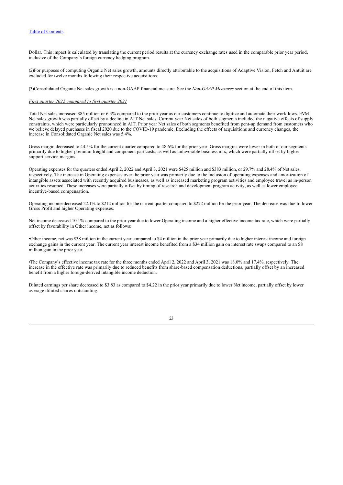Dollar. This impact is calculated by translating the current period results at the currency exchange rates used in the comparable prior year period, inclusive of the Company's foreign currency hedging program.

(2)For purposes of computing Organic Net sales growth, amounts directly attributable to the acquisitions of Adaptive Vision, Fetch and Antuit are excluded for twelve months following their respective acquisitions.

(3)Consolidated Organic Net sales growth is a non-GAAP financial measure. See the *Non-GAAP Measures* section at the end of this item.

### *First quarter 2022 compared to first quarter 2021*

Total Net sales increased \$85 million or 6.3% compared to the prior year as our customers continue to digitize and automate their workflows. EVM Net sales growth was partially offset by a decline in AIT Net sales. Current year Net sales of both segments included the negative effects of supply constraints, which were particularly pronounced in AIT. Prior year Net sales of both segments benefited from pent-up demand from customers who we believe delayed purchases in fiscal 2020 due to the COVID-19 pandemic. Excluding the effects of acquisitions and currency changes, the increase in Consolidated Organic Net sales was 5.4%.

Gross margin decreased to 44.5% for the current quarter compared to 48.6% for the prior year. Gross margins were lower in both of our segments primarily due to higher premium freight and component part costs, as well as unfavorable business mix, which were partially offset by higher support service margins.

Operating expenses for the quarters ended April 2, 2022 and April 3, 2021 were \$425 million and \$383 million, or 29.7% and 28.4% of Net sales, respectively. The increase in Operating expenses over the prior year was primarily due to the inclusion of operating expenses and amortization of intangible assets associated with recently acquired businesses, as well as increased marketing program activities and employee travel as in-person activities resumed. These increases were partially offset by timing of research and development program activity, as well as lower employee incentive-based compensation.

Operating income decreased 22.1% to \$212 million for the current quarter compared to \$272 million for the prior year. The decrease was due to lower Gross Profit and higher Operating expenses.

Net income decreased 10.1% compared to the prior year due to lower Operating income and a higher effective income tax rate, which were partially offset by favorability in Other income, net as follows:

•Other income, net was \$38 million in the current year compared to \$4 million in the prior year primarily due to higher interest income and foreign exchange gains in the current year. The current year interest income benefited from a \$34 million gain on interest rate swaps compared to an \$8 million gain in the prior year.

•The Company's effective income tax rate for the three months ended April 2, 2022 and April 3, 2021 was 18.0% and 17.4%, respectively. The increase in the effective rate was primarily due to reduced benefits from share-based compensation deductions, partially offset by an increased benefit from a higher foreign-derived intangible income deduction.

<span id="page-23-0"></span>Diluted earnings per share decreased to \$3.83 as compared to \$4.22 in the prior year primarily due to lower Net income, partially offset by lower average diluted shares outstanding.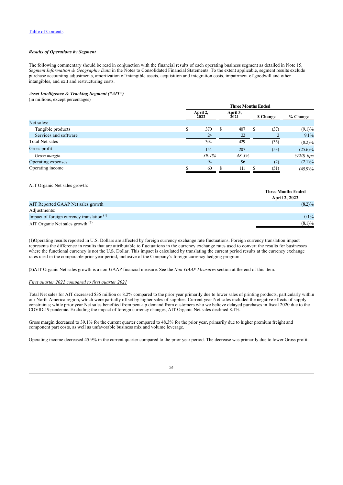### *Results of Operations by Segment*

The following commentary should be read in conjunction with the financial results of each operating business segment as detailed in Note 15, *Segment Information & Geographic Data* in the Notes to Consolidated Financial Statements. To the extent applicable, segment results exclude purchase accounting adjustments, amortization of intangible assets, acquisition and integration costs, impairment of goodwill and other intangibles, and exit and restructuring costs.

### *Asset Intelligence & Tracking Segment ("AIT")*

(in millions, except percentages)

|                       | <b>Three Months Ended</b> |                  |                         |       |                 |      |             |
|-----------------------|---------------------------|------------------|-------------------------|-------|-----------------|------|-------------|
|                       |                           | April 2,<br>2022 | April 3,<br><b>2021</b> |       | <b>S</b> Change |      | % Change    |
| Net sales:            |                           |                  |                         |       |                 |      |             |
| Tangible products     | S                         | 370              | S                       | 407   | S               | (37) | $(9.1)\%$   |
| Services and software |                           | 24               |                         | 22    |                 |      | 9.1%        |
| Total Net sales       |                           | 394              |                         | 429   |                 | (35) | $(8.2)\%$   |
| Gross profit          |                           | 154              |                         | 207   |                 | (53) | $(25.6)\%$  |
| Gross margin          |                           | 39.1%            |                         | 48.3% |                 |      | $(920)$ bps |
| Operating expenses    |                           | 94               |                         | 96    |                 | (2)  | $(2.1)\%$   |
| Operating income      |                           | 60               |                         | 111   |                 | (51) | $(45.9)\%$  |

### AIT Organic Net sales growth:

|                                                       | <b>Three Months Ended</b><br><b>April 2, 2022</b> |
|-------------------------------------------------------|---------------------------------------------------|
| AIT Reported GAAP Net sales growth                    | $(8.2)\%$                                         |
| Adjustments:                                          |                                                   |
| Impact of foreign currency translation <sup>(1)</sup> | $0.1\%$                                           |
| AIT Organic Net sales growth $(2)$                    | $(8.1)\%$                                         |

(1)Operating results reported in U.S. Dollars are affected by foreign currency exchange rate fluctuations. Foreign currency translation impact represents the difference in results that are attributable to fluctuations in the currency exchange rates used to convert the results for businesses where the functional currency is not the U.S. Dollar. This impact is calculated by translating the current period results at the currency exchange rates used in the comparable prior year period, inclusive of the Company's foreign currency hedging program.

(2)AIT Organic Net sales growth is a non-GAAP financial measure. See the *Non-GAAP Measures* section at the end of this item.

### *First quarter 2022 compared to first quarter 2021*

Total Net sales for AIT decreased \$35 million or 8.2% compared to the prior year primarily due to lower sales of printing products, particularly within our North America region, which were partially offset by higher sales of supplies. Current year Net sales included the negative effects of supply constraints; while prior year Net sales benefited from pent-up demand from customers who we believe delayed purchases in fiscal 2020 due to the COVID-19 pandemic. Excluding the impact of foreign currency changes, AIT Organic Net sales declined 8.1%.

Gross margin decreased to 39.1% for the current quarter compared to 48.3% for the prior year, primarily due to higher premium freight and component part costs, as well as unfavorable business mix and volume leverage.

Operating income decreased 45.9% in the current quarter compared to the prior year period. The decrease was primarily due to lower Gross profit.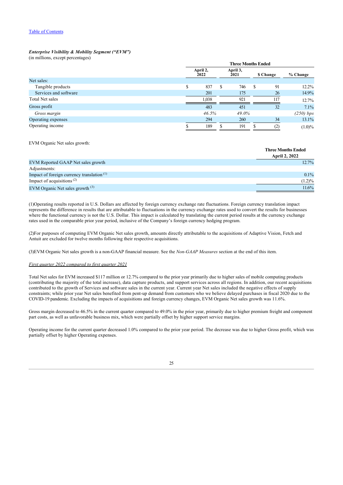### *Enterprise Visibility & Mobility Segment ("EVM")*

(in millions, except percentages)

|                       | <b>Three Months Ended</b> |                  |                  |       |           |     |             |  |
|-----------------------|---------------------------|------------------|------------------|-------|-----------|-----|-------------|--|
|                       |                           | April 2,<br>2022 | April 3,<br>2021 |       | \$ Change |     | % Change    |  |
| Net sales:            |                           |                  |                  |       |           |     |             |  |
| Tangible products     | S                         | 837              | S                | 746   | -S        | 91  | $12.2\%$    |  |
| Services and software |                           | 201              |                  | 175   |           | 26  | 14.9%       |  |
| Total Net sales       |                           | 1,038            |                  | 921   |           | 117 | 12.7%       |  |
| Gross profit          |                           | 483              |                  | 451   |           | 32  | 7.1%        |  |
| Gross margin          |                           | 46.5%            |                  | 49.0% |           |     | $(250)$ bps |  |
| Operating expenses    |                           | 294              |                  | 260   |           | 34  | 13.1%       |  |
| Operating income      |                           | 189              |                  | 191   |           |     | $(1.0)\%$   |  |

EVM Organic Net sales growth:

|                                                       | тигес втопив еписи   |
|-------------------------------------------------------|----------------------|
|                                                       | <b>April 2, 2022</b> |
| EVM Reported GAAP Net sales growth                    | 12.7%                |
| Adjustments:                                          |                      |
| Impact of foreign currency translation <sup>(1)</sup> | 0.1%                 |
| Impact of acquisitions <sup><math>(2)</math></sup>    | $(1.2)\%$            |
| EVM Organic Net sales growth $(3)$                    | 11.6%                |

**Three Months Ended**

(1)Operating results reported in U.S. Dollars are affected by foreign currency exchange rate fluctuations. Foreign currency translation impact represents the difference in results that are attributable to fluctuations in the currency exchange rates used to convert the results for businesses where the functional currency is not the U.S. Dollar. This impact is calculated by translating the current period results at the currency exchange rates used in the comparable prior year period, inclusive of the Company's foreign currency hedging program.

(2)For purposes of computing EVM Organic Net sales growth, amounts directly attributable to the acquisitions of Adaptive Vision, Fetch and Antuit are excluded for twelve months following their respective acquisitions.

(3)EVM Organic Net sales growth is a non-GAAP financial measure. See the *Non-GAAP Measures* section at the end of this item.

### *First quarter 2022 compared to first quarter 2021*

Total Net sales for EVM increased \$117 million or 12.7% compared to the prior year primarily due to higher sales of mobile computing products (contributing the majority of the total increase), data capture products, and support services across all regions. In addition, our recent acquisitions contributed to the growth of Services and software sales in the current year. Current year Net sales included the negative effects of supply constraints; while prior year Net sales benefited from pent-up demand from customers who we believe delayed purchases in fiscal 2020 due to the COVID-19 pandemic. Excluding the impacts of acquisitions and foreign currency changes, EVM Organic Net sales growth was 11.6%.

Gross margin decreased to 46.5% in the current quarter compared to 49.0% in the prior year, primarily due to higher premium freight and component part costs, as well as unfavorable business mix, which were partially offset by higher support service margins.

<span id="page-25-0"></span>Operating income for the current quarter decreased 1.0% compared to the prior year period. The decrease was due to higher Gross profit, which was partially offset by higher Operating expenses.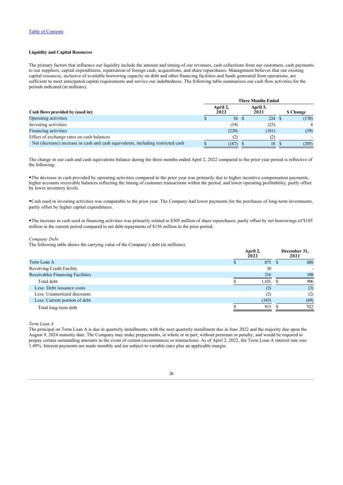### **Liquidity and Capital Resources**

The primary factors that influence our liquidity include the amount and timing of our revenues, cash collections from our customers, cash payments to our suppliers, capital expenditures, repatriation of foreign cash, acquisitions, and share repurchases. Management believes that our existing capital resources, inclusive of available borrowing capacity on debt and other financing facilities and funds generated from operations, are sufficient to meet anticipated capital requirements and service our indebtedness. The following table summarizes our cash flow activities for the periods indicated (in millions):

|                                                                                 | <b>Three Months Ended</b> |                  |  |                  |  |                 |
|---------------------------------------------------------------------------------|---------------------------|------------------|--|------------------|--|-----------------|
| Cash flows provided by (used in):                                               |                           | April 2,<br>2022 |  | April 3,<br>2021 |  | <b>S</b> Change |
| Operating activities                                                            |                           | 54               |  | 224 \$           |  | (170)           |
| Investing activities                                                            |                           | (19)             |  | (23)             |  |                 |
| Financing activities                                                            |                           | (220)            |  | (181)            |  | (39)            |
| Effect of exchange rates on cash balances                                       |                           | (2)              |  | (2)              |  |                 |
| Net (decrease) increase in cash and cash equivalents, including restricted cash |                           | (187)            |  | 18               |  | (205)           |

The change in our cash and cash equivalents balance during the three months ended April 2, 2022 compared to the prior year period is reflective of the following:

•The decrease in cash provided by operating activities compared to the prior year was primarily due to higher incentive compensation payments, higher accounts receivable balances reflecting the timing of customer transactions within the period, and lower operating profitability, partly offset by lower inventory levels.

•Cash used in investing activities was comparable to the prior year. The Company had lower payments for the purchases of long-term investments, partly offset by higher capital expenditures.

•The increase in cash used in financing activities was primarily related to \$305 million of share repurchases, partly offset by net borrowings of \$105 million in the current period compared to net debt repayments of \$156 million in the prior period.

### *Company Debt*

The following table shows the carrying value of the Company's debt (in millions):

|                                  | April 2,<br>2022 |       | December 31,<br>2021 |  |
|----------------------------------|------------------|-------|----------------------|--|
| Term Loan A                      |                  | 875   | 888                  |  |
| Revolving Credit Facility        |                  | 10    |                      |  |
| Receivables Financing Facilities |                  | 216   | 108                  |  |
| Total debt                       |                  | 1.101 | 996                  |  |
| Less: Debt issuance costs        |                  | (3)   | (3)                  |  |
| Less: Unamortized discounts      |                  |       | (2)                  |  |
| Less: Current portion of debt    |                  | (183) | (69)                 |  |
| Total long-term debt             |                  | 913   | 922                  |  |

*Term Loan A*

The principal on Term Loan A is due in quarterly installments, with the next quarterly installment due in June 2022 and the majority due upon the August 9, 2024 maturity date. The Company may make prepayments, in whole or in part, without premium or penalty, and would be required to prepay certain outstanding amounts in the event of certain circumstances or transactions. As of April 2, 2022, the Term Loan A interest rate was 1.49%. Interest payments are made monthly and are subject to variable rates plus an applicable margin.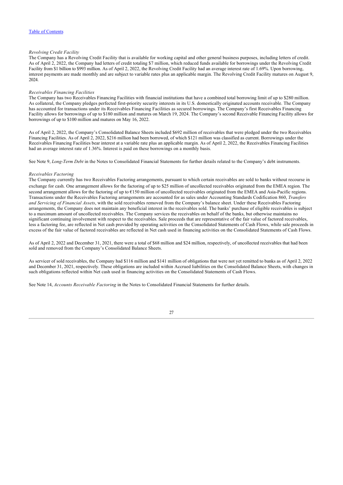### *Revolving Credit Facility*

The Company has a Revolving Credit Facility that is available for working capital and other general business purposes, including letters of credit. As of April 2, 2022, the Company had letters of credit totaling \$7 million, which reduced funds available for borrowings under the Revolving Credit Facility from \$1 billion to \$993 million. As of April 2, 2022, the Revolving Credit Facility had an average interest rate of 1.69%. Upon borrowing, interest payments are made monthly and are subject to variable rates plus an applicable margin. The Revolving Credit Facility matures on August 9, 2024.

### *Receivables Financing Facilities*

The Company has two Receivables Financing Facilities with financial institutions that have a combined total borrowing limit of up to \$280 million. As collateral, the Company pledges perfected first-priority security interests in its U.S. domestically originated accounts receivable. The Company has accounted for transactions under its Receivables Financing Facilities as secured borrowings. The Company's first Receivables Financing Facility allows for borrowings of up to \$180 million and matures on March 19, 2024. The Company's second Receivable Financing Facility allows for borrowings of up to \$100 million and matures on May 16, 2022.

As of April 2, 2022, the Company's Consolidated Balance Sheets included \$692 million of receivables that were pledged under the two Receivables Financing Facilities. As of April 2, 2022, \$216 million had been borrowed, of which \$121 million was classified as current. Borrowings under the Receivables Financing Facilities bear interest at a variable rate plus an applicable margin. As of April 2, 2022, the Receivables Financing Facilities had an average interest rate of 1.36%. Interest is paid on these borrowings on a monthly basis.

See Note 9, *Long-Term Debt* in the Notes to Consolidated Financial Statements for further details related to the Company's debt instruments.

### *Receivables Factoring*

The Company currently has two Receivables Factoring arrangements, pursuant to which certain receivables are sold to banks without recourse in exchange for cash. One arrangement allows for the factoring of up to \$25 million of uncollected receivables originated from the EMEA region. The second arrangement allows for the factoring of up to €150 million of uncollected receivables originated from the EMEA and Asia-Pacific regions. Transactions under the Receivables Factoring arrangements are accounted for as sales under Accounting Standards Codification 860, *Transfers and Servicing of Financial Assets*, with the sold receivables removed from the Company's balance sheet. Under these Receivables Factoring arrangements, the Company does not maintain any beneficial interest in the receivables sold. The banks' purchase of eligible receivables is subject to a maximum amount of uncollected receivables. The Company services the receivables on behalf of the banks, but otherwise maintains no significant continuing involvement with respect to the receivables. Sale proceeds that are representative of the fair value of factored receivables, less a factoring fee, are reflected in Net cash provided by operating activities on the Consolidated Statements of Cash Flows, while sale proceeds in excess of the fair value of factored receivables are reflected in Net cash used in financing activities on the Consolidated Statements of Cash Flows.

As of April 2, 2022 and December 31, 2021, there were a total of \$68 million and \$24 million, respectively, of uncollected receivables that had been sold and removed from the Company's Consolidated Balance Sheets.

As servicer of sold receivables, the Company had \$116 million and \$141 million of obligations that were not yet remitted to banks as of April 2, 2022 and December 31, 2021, respectively. These obligations are included within Accrued liabilities on the Consolidated Balance Sheets, with changes in such obligations reflected within Net cash used in financing activities on the Consolidated Statements of Cash Flows.

See Note 14, *Accounts Receivable Factoring* in the Notes to Consolidated Financial Statements for further details.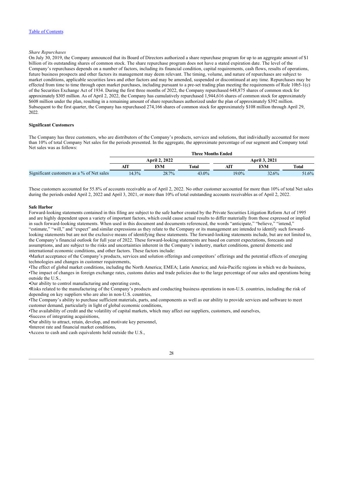### *Share Repurchases*

On July 30, 2019, the Company announced that its Board of Directors authorized a share repurchase program for up to an aggregate amount of \$1 billion of its outstanding shares of common stock. The share repurchase program does not have a stated expiration date. The level of the Company's repurchases depends on a number of factors, including its financial condition, capital requirements, cash flows, results of operations, future business prospects and other factors its management may deem relevant. The timing, volume, and nature of repurchases are subject to market conditions, applicable securities laws and other factors and may be amended, suspended or discontinued at any time. Repurchases may be effected from time to time through open market purchases, including pursuant to a pre-set trading plan meeting the requirements of Rule 10b5-1(c) of the Securities Exchange Act of 1934. During the first three months of 2022, the Company repurchased 648,875 shares of common stock for approximately \$305 million. As of April 2, 2022, the Company has cumulatively repurchased 1,944,616 shares of common stock for approximately \$608 million under the plan, resulting in a remaining amount of share repurchases authorized under the plan of approximately \$392 million. Subsequent to the first quarter, the Company has repurchased 274,166 shares of common stock for approximately \$108 million through April 29, 2022

### <span id="page-28-0"></span>**Significant Customers**

The Company has three customers, who are distributors of the Company's products, services and solutions, that individually accounted for more than 10% of total Company Net sales for the periods presented. In the aggregate, the approximate percentage of our segment and Company total Net sales was as follows:

|                                           | <b>Three Months Ended</b> |                      |              |          |                      |              |  |  |  |
|-------------------------------------------|---------------------------|----------------------|--------------|----------|----------------------|--------------|--|--|--|
|                                           |                           | <b>April 2, 2022</b> |              |          | <b>April 3, 2021</b> |              |  |  |  |
|                                           |                           | <b>EVM</b>           | <b>Total</b> |          | EVM                  | <b>Total</b> |  |  |  |
| Significant customers as a % of Net sales | $14.3\%$                  | 28.7%                | 43.0%        | $19.0\%$ | 32.6%                | 51.6%        |  |  |  |

These customers accounted for 55.8% of accounts receivable as of April 2, 2022. No other customer accounted for more than 10% of total Net sales during the periods ended April 2, 2022 and April 3, 2021, or more than 10% of total outstanding accounts receivables as of April 2, 2022.

#### <span id="page-28-1"></span>**Safe Harbor**

Forward-looking statements contained in this filing are subject to the safe harbor created by the Private Securities Litigation Reform Act of 1995 and are highly dependent upon a variety of important factors, which could cause actual results to differ materially from those expressed or implied in such forward-looking statements. When used in this document and documents referenced, the words "anticipate," "believe," "intend," "estimate," "will," and "expect" and similar expressions as they relate to the Company or its management are intended to identify such forwardlooking statements but are not the exclusive means of identifying these statements. The forward-looking statements include, but are not limited to, the Company's financial outlook for full year of 2022. These forward-looking statements are based on current expectations, forecasts and assumptions, and are subject to the risks and uncertainties inherent in the Company's industry, market conditions, general domestic and international economic conditions, and other factors. These factors include:

•Market acceptance of the Company's products, services and solution offerings and competitors' offerings and the potential effects of emerging technologies and changes in customer requirements,

•The effect of global market conditions, including the North America; EMEA; Latin America; and Asia-Pacific regions in which we do business, •The impact of changes in foreign exchange rates, customs duties and trade policies due to the large percentage of our sales and operations being outside the U.S.,

•Our ability to control manufacturing and operating costs,

•Risks related to the manufacturing of the Company's products and conducting business operations in non-U.S. countries, including the risk of depending on key suppliers who are also in non-U.S. countries,

•The Company's ability to purchase sufficient materials, parts, and components as well as our ability to provide services and software to meet customer demand, particularly in light of global economic conditions,

•The availability of credit and the volatility of capital markets, which may affect our suppliers, customers, and ourselves,

•Success of integrating acquisitions,

•Our ability to attract, retain, develop, and motivate key personnel,

•Interest rate and financial market conditions,

•Access to cash and cash equivalents held outside the U.S.,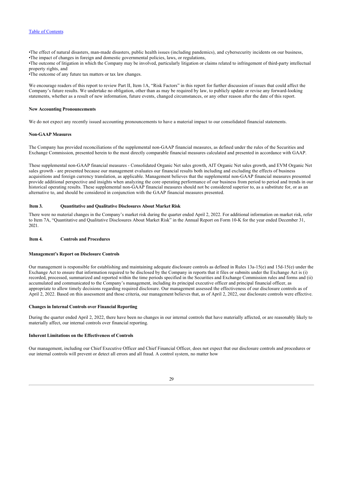•The effect of natural disasters, man-made disasters, public health issues (including pandemics), and cybersecurity incidents on our business, •The impact of changes in foreign and domestic governmental policies, laws, or regulations,

•The outcome of litigation in which the Company may be involved, particularly litigation or claims related to infringement of third-party intellectual property rights, and

•The outcome of any future tax matters or tax law changes.

We encourage readers of this report to review Part II, Item 1A, "Risk Factors" in this report for further discussion of issues that could affect the Company's future results. We undertake no obligation, other than as may be required by law, to publicly update or revise any forward-looking statements, whether as a result of new information, future events, changed circumstances, or any other reason after the date of this report.

### <span id="page-29-0"></span>**New Accounting Pronouncements**

We do not expect any recently issued accounting pronouncements to have a material impact to our consolidated financial statements.

#### <span id="page-29-1"></span>**Non-GAAP Measures**

The Company has provided reconciliations of the supplemental non-GAAP financial measures, as defined under the rules of the Securities and Exchange Commission, presented herein to the most directly comparable financial measures calculated and presented in accordance with GAAP.

These supplemental non-GAAP financial measures - Consolidated Organic Net sales growth, AIT Organic Net sales growth, and EVM Organic Net sales growth - are presented because our management evaluates our financial results both including and excluding the effects of business acquisitions and foreign currency translation, as applicable. Management believes that the supplemental non-GAAP financial measures presented provide additional perspective and insights when analyzing the core operating performance of our business from period to period and trends in our historical operating results. These supplemental non-GAAP financial measures should not be considered superior to, as a substitute for, or as an alternative to, and should be considered in conjunction with the GAAP financial measures presented.

### <span id="page-29-2"></span>**Item 3. Quantitative and Qualitative Disclosures About Market Risk**

There were no material changes in the Company's market risk during the quarter ended April 2, 2022. For additional information on market risk, refer to Item 7A, "Quantitative and Qualitative Disclosures About Market Risk" in the Annual Report on Form 10-K for the year ended December 31, 2021.

### <span id="page-29-3"></span>**Item 4. Controls and Procedures**

### **Management's Report on Disclosure Controls**

Our management is responsible for establishing and maintaining adequate disclosure controls as defined in Rules 13a-15(e) and 15d-15(e) under the Exchange Act to ensure that information required to be disclosed by the Company in reports that it files or submits under the Exchange Act is (i) recorded, processed, summarized and reported within the time periods specified in the Securities and Exchange Commission rules and forms and (ii) accumulated and communicated to the Company's management, including its principal executive officer and principal financial officer, as appropriate to allow timely decisions regarding required disclosure. Our management assessed the effectiveness of our disclosure controls as of April 2, 2022. Based on this assessment and those criteria, our management believes that, as of April 2, 2022, our disclosure controls were effective.

### **Changes in Internal Controls over Financial Reporting**

During the quarter ended April 2, 2022, there have been no changes in our internal controls that have materially affected, or are reasonably likely to materially affect, our internal controls over financial reporting.

### **Inherent Limitations on the Effectiveness of Controls**

Our management, including our Chief Executive Officer and Chief Financial Officer, does not expect that our disclosure controls and procedures or our internal controls will prevent or detect all errors and all fraud. A control system, no matter how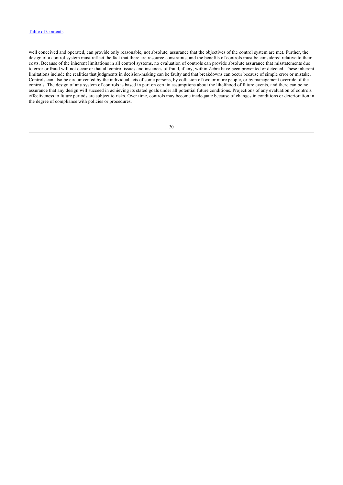<span id="page-30-0"></span>well conceived and operated, can provide only reasonable, not absolute, assurance that the objectives of the control system are met. Further, the design of a control system must reflect the fact that there are resource constraints, and the benefits of controls must be considered relative to their costs. Because of the inherent limitations in all control systems, no evaluation of controls can provide absolute assurance that misstatements due to error or fraud will not occur or that all control issues and instances of fraud, if any, within Zebra have been prevented or detected. These inherent limitations include the realities that judgments in decision-making can be faulty and that breakdowns can occur because of simple error or mistake. Controls can also be circumvented by the individual acts of some persons, by collusion of two or more people, or by management override of the controls. The design of any system of controls is based in part on certain assumptions about the likelihood of future events, and there can be no assurance that any design will succeed in achieving its stated goals under all potential future conditions. Projections of any evaluation of controls effectiveness to future periods are subject to risks. Over time, controls may become inadequate because of changes in conditions or deterioration in the degree of compliance with policies or procedures.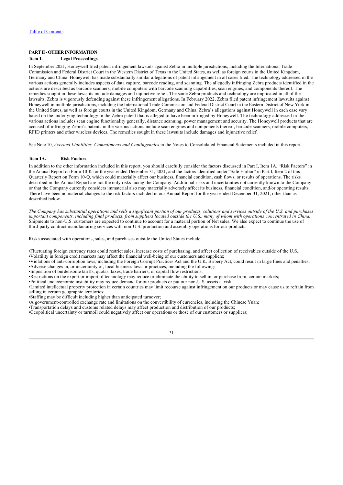# **PART II - OTHER INFORMATION**

### <span id="page-31-0"></span>**Item 1. Legal Proceedings**

In September 2021, Honeywell filed patent infringement lawsuits against Zebra in multiple jurisdictions, including the International Trade Commission and Federal District Court in the Western District of Texas in the United States, as well as foreign courts in the United Kingdom, Germany and China. Honeywell has made substantially similar allegations of patent infringement in all cases filed. The technology addressed in the various actions generally includes aspects of data capture, barcode reading, and scanning. The allegedly infringing Zebra products identified in the actions are described as barcode scanners, mobile computers with barcode scanning capabilities, scan engines, and components thereof. The remedies sought in these lawsuits include damages and injunctive relief. The same Zebra products and technology are implicated in all of the lawsuits. Zebra is vigorously defending against these infringement allegations. In February 2022, Zebra filed patent infringement lawsuits against Honeywell in multiple jurisdictions, including the International Trade Commission and Federal District Court in the Eastern District of New York in the United States, as well as foreign courts in the United Kingdom, Germany and China. Zebra's allegations against Honeywell in each case vary based on the underlying technology in the Zebra patent that is alleged to have been infringed by Honeywell. The technology addressed in the various actions includes scan engine functionality generally, distance scanning, power management and security. The Honeywell products that are accused of infringing Zebra's patents in the various actions include scan engines and components thereof, barcode scanners, mobile computers, RFID printers and other wireless devices. The remedies sought in these lawsuits include damages and injunctive relief.

See Note 10, *Accrued Liabilities, Commitments and Contingencies* in the Notes to Consolidated Financial Statements included in this report.

### <span id="page-31-1"></span>**Item 1A. Risk Factors**

In addition to the other information included in this report, you should carefully consider the factors discussed in Part I, Item 1A. "Risk Factors" in the Annual Report on Form 10-K for the year ended December 31, 2021, and the factors identified under "Safe Harbor" in Part I, Item 2 of this Quarterly Report on Form 10-Q, which could materially affect our business, financial condition, cash flows, or results of operations. The risks described in the Annual Report are not the only risks facing the Company. Additional risks and uncertainties not currently known to the Company or that the Company currently considers immaterial also may materially adversely affect its business, financial condition, and/or operating results. There have been no material changes to the risk factors included in our Annual Report for the year ended December 31, 2021, other than as described below.

*The Company has substantial operations and sells a significant portion of our products, solutions and services outside of the U.S. and purchases important components, including final products, from suppliers located outside the U.S., many of whom with operations concentrated in China.* Shipments to non-U.S. customers are expected to continue to account for a material portion of Net sales. We also expect to continue the use of third-party contract manufacturing services with non-U.S. production and assembly operations for our products.

Risks associated with operations, sales, and purchases outside the United States include:

•Fluctuating foreign currency rates could restrict sales, increase costs of purchasing, and affect collection of receivables outside of the U.S.;

•Volatility in foreign credit markets may affect the financial well-being of our customers and suppliers;

•Violations of anti-corruption laws, including the Foreign Corrupt Practices Act and the U.K. Bribery Act, could result in large fines and penalties; •Adverse changes in, or uncertainty of, local business laws or practices, including the following:

•Imposition of burdensome tariffs, quotas, taxes, trade barriers, or capital flow restrictions;

•Restrictions on the export or import of technology may reduce or eliminate the ability to sell in, or purchase from, certain markets;

•Political and economic instability may reduce demand for our products or put our non-U.S. assets at risk;

•Limited intellectual property protection in certain countries may limit recourse against infringement on our products or may cause us to refrain from selling in certain geographic territories;

•Staffing may be difficult including higher than anticipated turnover;

•A government-controlled exchange rate and limitations on the convertibility of currencies, including the Chinese Yuan;

•Transportation delays and customs related delays may affect production and distribution of our products;

•Geopolitical uncertainty or turmoil could negatively affect our operations or those of our customers or suppliers;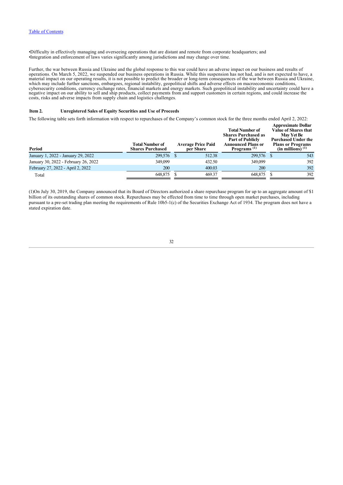•Difficulty in effectively managing and overseeing operations that are distant and remote from corporate headquarters; and •Integration and enforcement of laws varies significantly among jurisdictions and may change over time.

Further, the war between Russia and Ukraine and the global response to this war could have an adverse impact on our business and results of operations. On March 5, 2022, we suspended our business operations in Russia. While this suspension has not had, and is not expected to have, a material impact on our operating results, it is not possible to predict the broader or long-term consequences of the war between Russia and Ukraine, which may include further sanctions, embargoes, regional instability, geopolitical shifts and adverse effects on macroeconomic conditions, cybersecurity conditions, currency exchange rates, financial markets and energy markets. Such geopolitical instability and uncertainty could have a negative impact on our ability to sell and ship products, collect payments from and support customers in certain regions, and could increase the costs, risks and adverse impacts from supply chain and logistics challenges.

### <span id="page-32-0"></span>**Item 2. Unregistered Sales of Equity Securities and Use of Proceeds**

The following table sets forth information with respect to repurchases of the Company's common stock for the three months ended April 2, 2022:

| <b>Total Number of</b><br><b>Shares Purchased</b> |        | <b>Total Number of</b><br><b>Shares Purchased as</b><br><b>Part of Publicly</b><br><b>Announced Plans or</b><br>Programs <sup><math>(1)</math></sup> |  | <b>Approximate Dollar</b><br><b>Value of Shares that</b><br><b>May Yet Be</b><br><b>Purchased Under the</b><br><b>Plans or Programs</b><br>$(in$ millions) $(1)$ |
|---------------------------------------------------|--------|------------------------------------------------------------------------------------------------------------------------------------------------------|--|------------------------------------------------------------------------------------------------------------------------------------------------------------------|
| 299,576                                           | 512.38 | 299,576                                                                                                                                              |  | 543                                                                                                                                                              |
| 349,099                                           | 432.50 | 349,099                                                                                                                                              |  | 392                                                                                                                                                              |
| 200                                               | 400.03 | <b>200</b>                                                                                                                                           |  | 392                                                                                                                                                              |
| 648,875                                           | 469.37 | 648,875                                                                                                                                              |  | 392                                                                                                                                                              |
|                                                   |        | <b>Average Price Paid</b><br>per Share                                                                                                               |  |                                                                                                                                                                  |

<span id="page-32-1"></span>(1)On July 30, 2019, the Company announced that its Board of Directors authorized a share repurchase program for up to an aggregate amount of \$1 billion of its outstanding shares of common stock. Repurchases may be effected from time to time through open market purchases, including pursuant to a pre-set trading plan meeting the requirements of Rule 10b5-1(c) of the Securities Exchange Act of 1934. The program does not have a stated expiration date.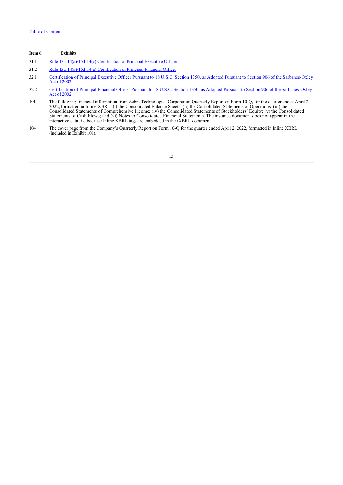### **Item 6. Exhibits**

- 31.1 [Rule 13a-14\(a\)/15d-14\(a\) Certification of Principal Executive Officer](http://www.sec.gov/Archives/edgar/data/877212/000087721222000059/ex311-signedq12022.htm)
- 31.2 [Rule 13a-14\(a\)/15d-14\(a\) Certification of Principal Financial Officer](http://www.sec.gov/Archives/edgar/data/877212/000087721222000059/ex312-signedq12022.htm)
- 32.1 [Certification of Principal Executive Officer Pursuant to 18 U.S.C. Section 1350, as Adopted Pursuant to Section 906 of the Sarbanes-Oxley](http://www.sec.gov/Archives/edgar/data/877212/000087721222000059/ex321-signedq12022.htm) Act of 2002
- 32.2 [Certification of Principal Financial Officer Pursuant to 18 U.S.C. Section 1350, as Adopted Pursuant to Section 906 of the Sarbanes-Oxley](http://www.sec.gov/Archives/edgar/data/877212/000087721222000059/ex322-signedq12022.htm) Act of 2002
- 101 The following financial information from Zebra Technologies Corporation Quarterly Report on Form 10-Q, for the quarter ended April 2, 2022, formatted in Inline XBRL: (i) the Consolidated Balance Sheets; (ii) the Consolidated Statements of Operations; (iii) the Consolidated Statements of Comprehensive Income; (iv) the Consolidated Statements of Stockholders' Equity; (v) the Consolidated Statements of Cash Flows; and (vi) Notes to Consolidated Financial Statements. The instance document does not appear in the interactive data file because Inline XBRL tags are embedded in the iXBRL document.
- <span id="page-33-0"></span>104 The cover page from the Company's Quarterly Report on Form 10-Q for the quarter ended April 2, 2022, formatted in Inline XBRL (included in Exhibit 101).